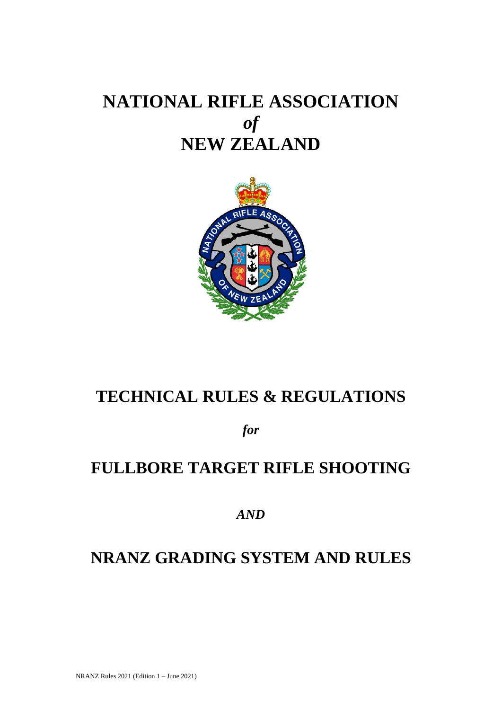# **NATIONAL RIFLE ASSOCIATION** *of* **NEW ZEALAND**



# **TECHNICAL RULES & REGULATIONS**

*for*

# **FULLBORE TARGET RIFLE SHOOTING**

*AND*

# **NRANZ GRADING SYSTEM AND RULES**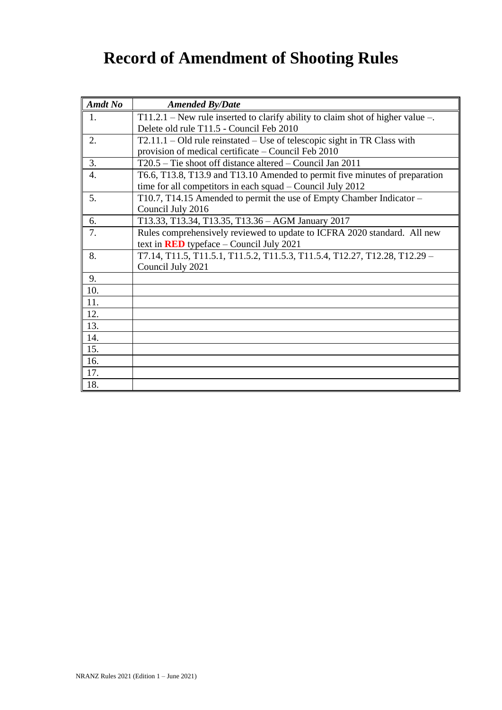# **Record of Amendment of Shooting Rules**

| <b>Amdt No</b>   | <b>Amended By/Date</b>                                                                                                                      |
|------------------|---------------------------------------------------------------------------------------------------------------------------------------------|
| 1.               | $T11.2.1$ – New rule inserted to clarify ability to claim shot of higher value –.                                                           |
|                  | Delete old rule T11.5 - Council Feb 2010                                                                                                    |
| 2.               | $T2.11.1 - Old$ rule reinstated – Use of telescopic sight in TR Class with                                                                  |
|                  | provision of medical certificate – Council Feb 2010                                                                                         |
| 3.               | $T20.5$ – Tie shoot off distance altered – Council Jan 2011                                                                                 |
| $\overline{4}$ . | T6.6, T13.8, T13.9 and T13.10 Amended to permit five minutes of preparation<br>time for all competitors in each squad $-$ Council July 2012 |
| 5.               | T10.7, T14.15 Amended to permit the use of Empty Chamber Indicator -                                                                        |
|                  | Council July 2016                                                                                                                           |
| 6.               | T13.33, T13.34, T13.35, T13.36 - AGM January 2017                                                                                           |
| 7.               | Rules comprehensively reviewed to update to ICFRA 2020 standard. All new                                                                    |
|                  | text in <b>RED</b> typeface $-$ Council July 2021                                                                                           |
| 8.               | T7.14, T11.5, T11.5.1, T11.5.2, T11.5.3, T11.5.4, T12.27, T12.28, T12.29 -                                                                  |
|                  | Council July 2021                                                                                                                           |
| 9.               |                                                                                                                                             |
| 10.              |                                                                                                                                             |
| 11.              |                                                                                                                                             |
| 12.              |                                                                                                                                             |
| 13.              |                                                                                                                                             |
| 14.              |                                                                                                                                             |
| 15.              |                                                                                                                                             |
| 16.              |                                                                                                                                             |
| 17.              |                                                                                                                                             |
| 18.              |                                                                                                                                             |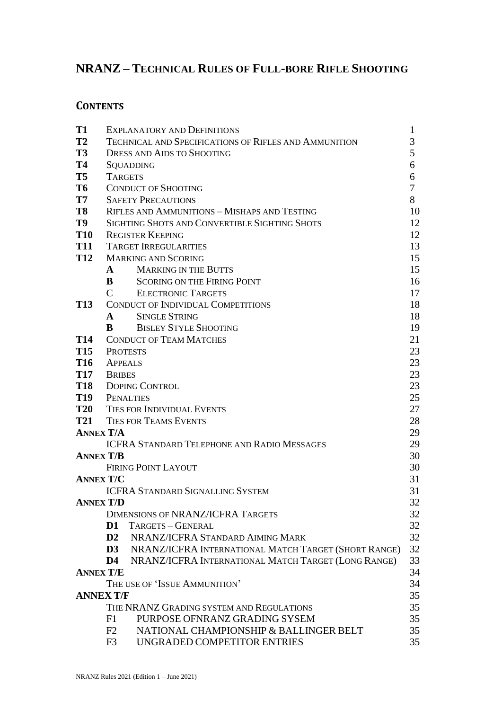## **NRANZ – TECHNICAL RULES OF FULL-BORE RIFLE SHOOTING**

## **CONTENTS**

| T <sub>1</sub>   | <b>EXPLANATORY AND DEFINITIONS</b>                                    | $\mathbf{1}$ |
|------------------|-----------------------------------------------------------------------|--------------|
| T <sub>2</sub>   | <b>TECHNICAL AND SPECIFICATIONS OF RIFLES AND AMMUNITION</b>          | 3            |
| <b>T3</b>        | <b>DRESS AND AIDS TO SHOOTING</b>                                     | 5            |
| <b>T4</b>        | SQUADDING                                                             | 6            |
| T <sub>5</sub>   | <b>TARGETS</b>                                                        | 6            |
| T <sub>6</sub>   | <b>CONDUCT OF SHOOTING</b>                                            | 7            |
| <b>T7</b>        | <b>SAFETY PRECAUTIONS</b>                                             | 8            |
| T8               | RIFLES AND AMMUNITIONS - MISHAPS AND TESTING                          | 10           |
| T9               | SIGHTING SHOTS AND CONVERTIBLE SIGHTING SHOTS                         | 12           |
| <b>T10</b>       | <b>REGISTER KEEPING</b>                                               | 12           |
| <b>T11</b>       | <b>TARGET IRREGULARITIES</b>                                          | 13           |
| <b>T12</b>       | <b>MARKING AND SCORING</b>                                            | 15           |
|                  | <b>MARKING IN THE BUTTS</b><br>$\mathbf{A}$                           | 15           |
|                  | B<br><b>SCORING ON THE FIRING POINT</b>                               | 16           |
|                  | C<br><b>ELECTRONIC TARGETS</b>                                        | 17           |
| <b>T13</b>       | <b>CONDUCT OF INDIVIDUAL COMPETITIONS</b>                             | 18           |
|                  | <b>SINGLE STRING</b><br>$\mathbf{A}$                                  | 18           |
|                  | <b>BISLEY STYLE SHOOTING</b><br>B                                     | 19           |
| <b>T14</b>       | <b>CONDUCT OF TEAM MATCHES</b>                                        | 21           |
| <b>T15</b>       | <b>PROTESTS</b>                                                       | 23           |
| <b>T16</b>       | <b>APPEALS</b>                                                        | 23           |
|                  | T17 BRIBES                                                            | 23           |
|                  | <b>T18</b> DOPING CONTROL                                             | 23           |
|                  | T19 PENALTIES                                                         | 25           |
| <b>T20</b>       | TIES FOR INDIVIDUAL EVENTS                                            | 27           |
| <b>T21</b>       | <b>TIES FOR TEAMS EVENTS</b>                                          | 28           |
| <b>ANNEX T/A</b> |                                                                       | 29           |
|                  | <b>ICFRA STANDARD TELEPHONE AND RADIO MESSAGES</b>                    | 29           |
| <b>ANNEX T/B</b> |                                                                       | 30           |
|                  | <b>FIRING POINT LAYOUT</b>                                            | 30           |
| <b>ANNEX T/C</b> |                                                                       | 31           |
|                  | <b>ICFRA STANDARD SIGNALLING SYSTEM</b>                               | 31           |
|                  | <b>ANNEX T/D</b>                                                      | 32           |
|                  | <b>DIMENSIONS OF NRANZ/ICFRA TARGETS</b>                              | 32           |
|                  | D <sub>1</sub><br>TARGETS - GENERAL                                   | 32           |
|                  | $\mathbf{D2}$<br>NRANZ/ICFRA STANDARD AIMING MARK                     | 32           |
|                  | NRANZ/ICFRA INTERNATIONAL MATCH TARGET (SHORT RANGE)<br>$\mathbf{D}3$ | 32           |
|                  | NRANZ/ICFRA INTERNATIONAL MATCH TARGET (LONG RANGE)<br>D4             | 33           |
| <b>ANNEX T/E</b> |                                                                       | 34           |
|                  | THE USE OF 'ISSUE AMMUNITION'                                         | 34           |
|                  | <b>ANNEX T/F</b>                                                      | 35           |
|                  | THE NRANZ GRADING SYSTEM AND REGULATIONS                              | 35           |
|                  | PURPOSE OFNRANZ GRADING SYSEM<br>F1                                   | 35           |
|                  | NATIONAL CHAMPIONSHIP & BALLINGER BELT<br>F2                          | 35           |
|                  | UNGRADED COMPETITOR ENTRIES<br>F <sub>3</sub>                         | 35           |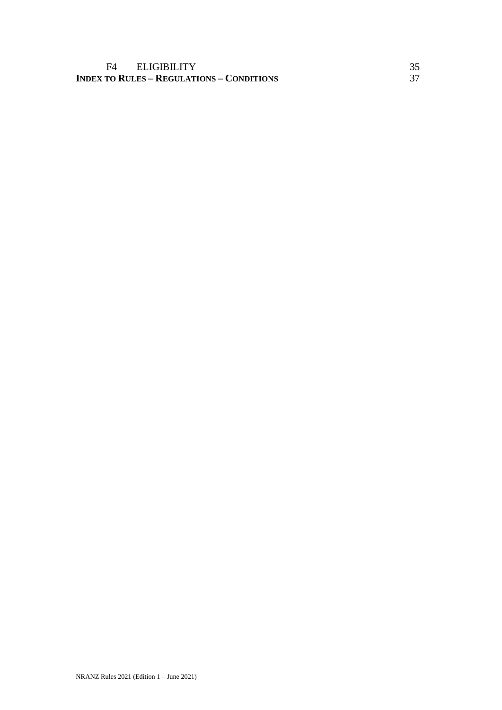### F4 ELIGIBILITY<br>
TO RULES – REGULATIONS – CONDITIONS 37 **INDEX TO RULES – REGULATIONS – CONDITIONS** 37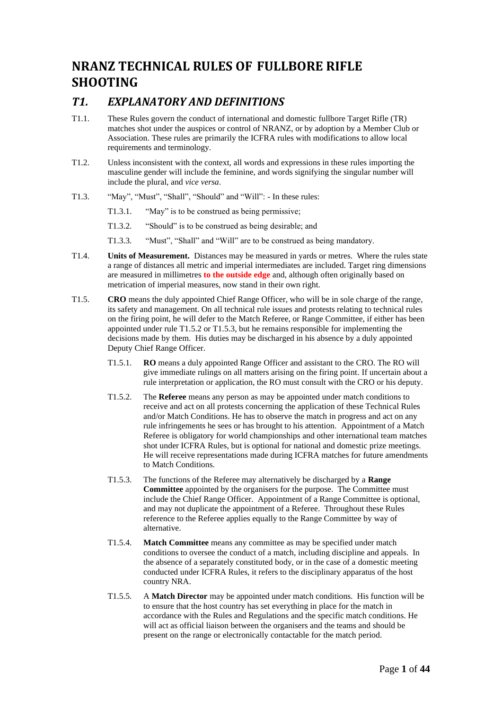## **NRANZ TECHNICAL RULES OF FULLBORE RIFLE SHOOTING**

### *T1. EXPLANATORY AND DEFINITIONS*

- T1.1. These Rules govern the conduct of international and domestic fullbore Target Rifle (TR) matches shot under the auspices or control of NRANZ, or by adoption by a Member Club or Association. These rules are primarily the ICFRA rules with modifications to allow local requirements and terminology.
- T1.2. Unless inconsistent with the context, all words and expressions in these rules importing the masculine gender will include the feminine, and words signifying the singular number will include the plural, and *vice versa*.
- T1.3. "May", "Must", "Shall", "Should" and "Will": In these rules:
	- T1.3.1. "May" is to be construed as being permissive;
	- T1.3.2. "Should" is to be construed as being desirable; and
	- T1.3.3. "Must", "Shall" and "Will" are to be construed as being mandatory.
- T1.4. **Units of Measurement.** Distances may be measured in yards or metres. Where the rules state a range of distances all metric and imperial intermediates are included. Target ring dimensions are measured in millimetres **to the outside edge** and, although often originally based on metrication of imperial measures, now stand in their own right.
- T1.5. **CRO** means the duly appointed Chief Range Officer, who will be in sole charge of the range, its safety and management. On all technical rule issues and protests relating to technical rules on the firing point, he will defer to the Match Referee, or Range Committee, if either has been appointed under rule T1.5.2 or T1.5.3, but he remains responsible for implementing the decisions made by them. His duties may be discharged in his absence by a duly appointed Deputy Chief Range Officer.
	- T1.5.1. **RO** means a duly appointed Range Officer and assistant to the CRO. The RO will give immediate rulings on all matters arising on the firing point. If uncertain about a rule interpretation or application, the RO must consult with the CRO or his deputy.
	- T1.5.2. The **Referee** means any person as may be appointed under match conditions to receive and act on all protests concerning the application of these Technical Rules and/or Match Conditions. He has to observe the match in progress and act on any rule infringements he sees or has brought to his attention.Appointment of a Match Referee is obligatory for world championships and other international team matches shot under ICFRA Rules, but is optional for national and domestic prize meetings. He will receive representations made during ICFRA matches for future amendments to Match Conditions.
	- T1.5.3. The functions of the Referee may alternatively be discharged by a **Range Committee** appointed by the organisers for the purpose. The Committee must include the Chief Range Officer. Appointment of a Range Committee is optional, and may not duplicate the appointment of a Referee. Throughout these Rules reference to the Referee applies equally to the Range Committee by way of alternative.
	- T1.5.4. **Match Committee** means any committee as may be specified under match conditions to oversee the conduct of a match, including discipline and appeals. In the absence of a separately constituted body, or in the case of a domestic meeting conducted under ICFRA Rules, it refers to the disciplinary apparatus of the host country NRA.
	- T1.5.5. A **Match Director** may be appointed under match conditions. His function will be to ensure that the host country has set everything in place for the match in accordance with the Rules and Regulations and the specific match conditions. He will act as official liaison between the organisers and the teams and should be present on the range or electronically contactable for the match period.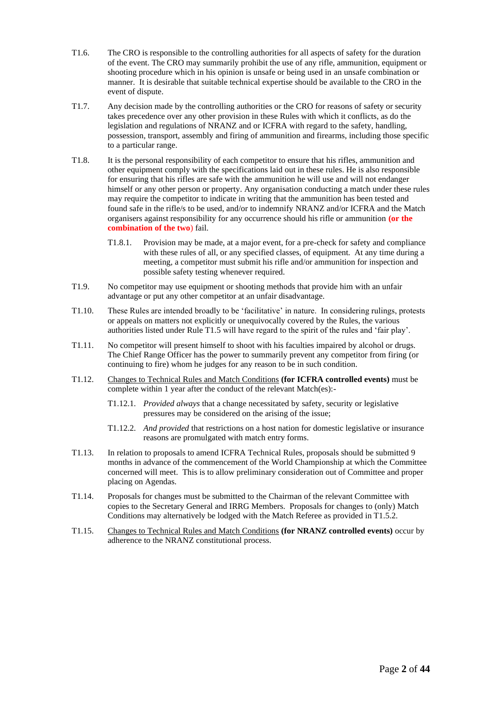- T1.6. The CRO is responsible to the controlling authorities for all aspects of safety for the duration of the event. The CRO may summarily prohibit the use of any rifle, ammunition, equipment or shooting procedure which in his opinion is unsafe or being used in an unsafe combination or manner. It is desirable that suitable technical expertise should be available to the CRO in the event of dispute.
- T1.7. Any decision made by the controlling authorities or the CRO for reasons of safety or security takes precedence over any other provision in these Rules with which it conflicts, as do the legislation and regulations of NRANZ and or ICFRA with regard to the safety, handling, possession, transport, assembly and firing of ammunition and firearms, including those specific to a particular range.
- T1.8. It is the personal responsibility of each competitor to ensure that his rifles, ammunition and other equipment comply with the specifications laid out in these rules. He is also responsible for ensuring that his rifles are safe with the ammunition he will use and will not endanger himself or any other person or property. Any organisation conducting a match under these rules may require the competitor to indicate in writing that the ammunition has been tested and found safe in the rifle/s to be used, and/or to indemnify NRANZ and/or ICFRA and the Match organisers against responsibility for any occurrence should his rifle or ammunition **(or the combination of the two**) fail.
	- T1.8.1. Provision may be made, at a major event, for a pre-check for safety and compliance with these rules of all, or any specified classes, of equipment. At any time during a meeting, a competitor must submit his rifle and/or ammunition for inspection and possible safety testing whenever required.
- T1.9. No competitor may use equipment or shooting methods that provide him with an unfair advantage or put any other competitor at an unfair disadvantage.
- T1.10. These Rules are intended broadly to be 'facilitative' in nature. In considering rulings, protests or appeals on matters not explicitly or unequivocally covered by the Rules, the various authorities listed under Rule T1.5 will have regard to the spirit of the rules and 'fair play'.
- T1.11. No competitor will present himself to shoot with his faculties impaired by alcohol or drugs. The Chief Range Officer has the power to summarily prevent any competitor from firing (or continuing to fire) whom he judges for any reason to be in such condition.
- T1.12. Changes to Technical Rules and Match Conditions **(for ICFRA controlled events)** must be complete within 1 year after the conduct of the relevant Match(es):-
	- T1.12.1. *Provided always* that a change necessitated by safety, security or legislative pressures may be considered on the arising of the issue;
	- T1.12.2. *And provided* that restrictions on a host nation for domestic legislative or insurance reasons are promulgated with match entry forms.
- T1.13. In relation to proposals to amend ICFRA Technical Rules, proposals should be submitted 9 months in advance of the commencement of the World Championship at which the Committee concerned will meet. This is to allow preliminary consideration out of Committee and proper placing on Agendas.
- T1.14. Proposals for changes must be submitted to the Chairman of the relevant Committee with copies to the Secretary General and IRRG Members. Proposals for changes to (only) Match Conditions may alternatively be lodged with the Match Referee as provided in T1.5.2.
- T1.15. Changes to Technical Rules and Match Conditions **(for NRANZ controlled events)** occur by adherence to the NRANZ constitutional process.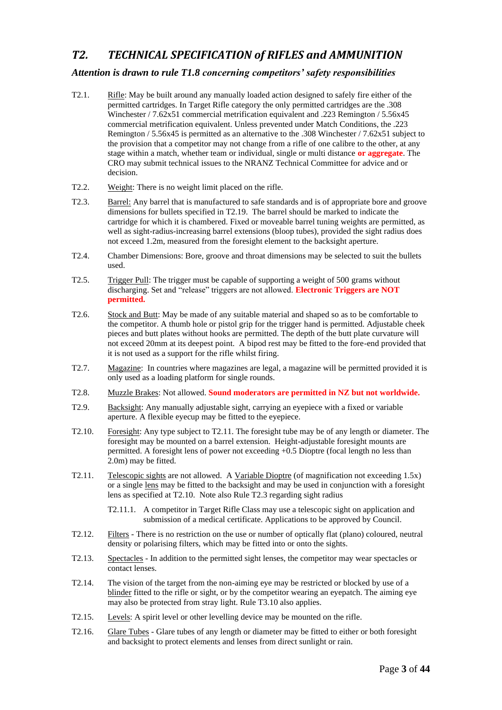## *T2. TECHNICAL SPECIFICATION of RIFLES and AMMUNITION*

### *Attention is drawn to rule T1.8 concerning competitors' safety responsibilities*

- T2.1. Rifle: May be built around any manually loaded action designed to safely fire either of the permitted cartridges. In Target Rifle category the only permitted cartridges are the .308 Winchester / 7.62x51 commercial metrification equivalent and .223 Remington / 5.56x45 commercial metrification equivalent. Unless prevented under Match Conditions, the .223 Remington / 5.56x45 is permitted as an alternative to the .308 Winchester / 7.62x51 subject to the provision that a competitor may not change from a rifle of one calibre to the other, at any stage within a match, whether team or individual, single or multi distance **or aggregate**. The CRO may submit technical issues to the NRANZ Technical Committee for advice and or decision.
- T2.2. Weight: There is no weight limit placed on the rifle.
- T2.3. Barrel: Any barrel that is manufactured to safe standards and is of appropriate bore and groove dimensions for bullets specified in T2.19. The barrel should be marked to indicate the cartridge for which it is chambered. Fixed or moveable barrel tuning weights are permitted, as well as sight-radius-increasing barrel extensions (bloop tubes), provided the sight radius does not exceed 1.2m, measured from the foresight element to the backsight aperture.
- T2.4. Chamber Dimensions: Bore, groove and throat dimensions may be selected to suit the bullets used.
- T2.5. Trigger Pull: The trigger must be capable of supporting a weight of 500 grams without discharging. Set and "release" triggers are not allowed. **Electronic Triggers are NOT permitted.**
- T2.6. Stock and Butt: May be made of any suitable material and shaped so as to be comfortable to the competitor. A thumb hole or pistol grip for the trigger hand is permitted. Adjustable cheek pieces and butt plates without hooks are permitted. The depth of the butt plate curvature will not exceed 20mm at its deepest point. A bipod rest may be fitted to the fore-end provided that it is not used as a support for the rifle whilst firing.
- T2.7. Magazine: In countries where magazines are legal, a magazine will be permitted provided it is only used as a loading platform for single rounds.
- T2.8. Muzzle Brakes: Not allowed. **Sound moderators are permitted in NZ but not worldwide.**
- T2.9. Backsight: Any manually adjustable sight, carrying an eyepiece with a fixed or variable aperture. A flexible eyecup may be fitted to the eyepiece.
- T2.10. Foresight: Any type subject to T2.11. The foresight tube may be of any length or diameter. The foresight may be mounted on a barrel extension. Height-adjustable foresight mounts are permitted. A foresight lens of power not exceeding +0.5 Dioptre (focal length no less than 2.0m) may be fitted.
- T2.11. Telescopic sights are not allowed. A Variable Dioptre (of magnification not exceeding 1.5x) or a single lens may be fitted to the backsight and may be used in conjunction with a foresight lens as specified at T2.10. Note also Rule T2.3 regarding sight radius
	- T2.11.1. A competitor in Target Rifle Class may use a telescopic sight on application and submission of a medical certificate. Applications to be approved by Council.
- T2.12. Filters There is no restriction on the use or number of optically flat (plano) coloured, neutral density or polarising filters, which may be fitted into or onto the sights.
- T2.13. Spectacles In addition to the permitted sight lenses, the competitor may wear spectacles or contact lenses.
- T2.14. The vision of the target from the non-aiming eye may be restricted or blocked by use of a blinder fitted to the rifle or sight, or by the competitor wearing an eyepatch. The aiming eye may also be protected from stray light. Rule T3.10 also applies.
- T2.15. Levels: A spirit level or other levelling device may be mounted on the rifle.
- T2.16. Glare Tubes Glare tubes of any length or diameter may be fitted to either or both foresight and backsight to protect elements and lenses from direct sunlight or rain.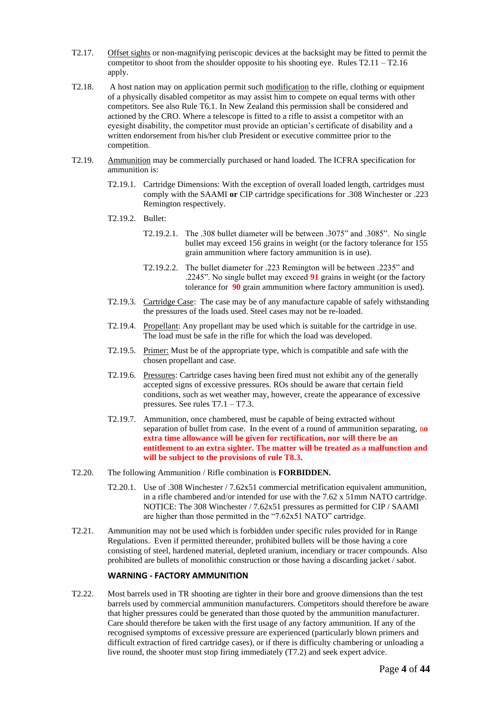- T2.17. Offset sights or non-magnifying periscopic devices at the backsight may be fitted to permit the competitor to shoot from the shoulder opposite to his shooting eye. Rules  $T2.11 - T2.16$ apply.
- T2.18. A host nation may on application permit such modification to the rifle, clothing or equipment of a physically disabled competitor as may assist him to compete on equal terms with other competitors. See also Rule T6.1. In New Zealand this permission shall be considered and actioned by the CRO. Where a telescope is fitted to a rifle to assist a competitor with an eyesight disability, the competitor must provide an optician's certificate of disability and a written endorsement from his/her club President or executive committee prior to the competition.
- T2.19. Ammunition may be commercially purchased or hand loaded. The ICFRA specification for ammunition is:
	- T2.19.1. Cartridge Dimensions: With the exception of overall loaded length, cartridges must comply with the SAAMI **or** CIP cartridge specifications for .308 Winchester or .223 Remington respectively.
	- T2.19.2. Bullet:
		- T2.19.2.1. The .308 bullet diameter will be between .3075" and .3085". No single bullet may exceed 156 grains in weight (or the factory tolerance for 155 grain ammunition where factory ammunition is in use).
		- T2.19.2.2. The bullet diameter for .223 Remington will be between .2235" and .2245". No single bullet may exceed **91** grains in weight (or the factory tolerance for **90** grain ammunition where factory ammunition is used).
	- T2.19.3. Cartridge Case: The case may be of any manufacture capable of safely withstanding the pressures of the loads used. Steel cases may not be re-loaded.
	- T2.19.4. Propellant: Any propellant may be used which is suitable for the cartridge in use. The load must be safe in the rifle for which the load was developed.
	- T2.19.5. Primer: Must be of the appropriate type, which is compatible and safe with the chosen propellant and case.
	- T2.19.6. Pressures: Cartridge cases having been fired must not exhibit any of the generally accepted signs of excessive pressures. ROs should be aware that certain field conditions, such as wet weather may, however, create the appearance of excessive pressures. See rules T7.1 – T7.3.
	- T2.19.7. Ammunition, once chambered, must be capable of being extracted without separation of bullet from case. In the event of a round of ammunition separating, n**o extra time allowance will be given for rectification, nor will there be an entitlement to an extra sighter. The matter will be treated as a malfunction and will be subject to the provisions of rule T8.3.**
- T2.20. The following Ammunition / Rifle combination is **FORBIDDEN.**
	- T2.20.1. Use of .308 Winchester / 7.62x51 commercial metrification equivalent ammunition, in a rifle chambered and/or intended for use with the 7.62 x 51mm NATO cartridge. NOTICE: The 308 Winchester / 7.62x51 pressures as permitted for CIP / SAAMI are higher than those permitted in the "7.62x51 NATO" cartridge.
- T2.21. Ammunition may not be used which is forbidden under specific rules provided for in Range Regulations. Even if permitted thereunder, prohibited bullets will be those having a core consisting of steel, hardened material, depleted uranium, incendiary or tracer compounds. Also prohibited are bullets of monolithic construction or those having a discarding jacket / sabot.

#### **WARNING - FACTORY AMMUNITION**

T2.22. Most barrels used in TR shooting are tighter in their bore and groove dimensions than the test barrels used by commercial ammunition manufacturers. Competitors should therefore be aware that higher pressures could be generated than those quoted by the ammunition manufacturer. Care should therefore be taken with the first usage of any factory ammunition. If any of the recognised symptoms of excessive pressure are experienced (particularly blown primers and difficult extraction of fired cartridge cases), or if there is difficulty chambering or unloading a live round, the shooter must stop firing immediately (T7.2) and seek expert advice.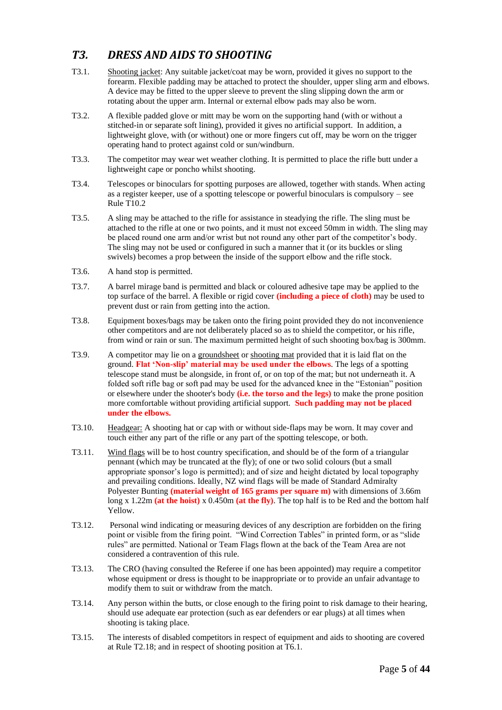## *T3. DRESS AND AIDS TO SHOOTING*

- T3.1. Shooting jacket: Any suitable jacket/coat may be worn, provided it gives no support to the forearm. Flexible padding may be attached to protect the shoulder, upper sling arm and elbows. A device may be fitted to the upper sleeve to prevent the sling slipping down the arm or rotating about the upper arm. Internal or external elbow pads may also be worn.
- T3.2. A flexible padded glove or mitt may be worn on the supporting hand (with or without a stitched-in or separate soft lining), provided it gives no artificial support. In addition, a lightweight glove, with (or without) one or more fingers cut off, may be worn on the trigger operating hand to protect against cold or sun/windburn.
- T3.3. The competitor may wear wet weather clothing. It is permitted to place the rifle butt under a lightweight cape or poncho whilst shooting.
- T3.4. Telescopes or binoculars for spotting purposes are allowed, together with stands. When acting as a register keeper, use of a spotting telescope or powerful binoculars is compulsory – see Rule T10.2
- T3.5. A sling may be attached to the rifle for assistance in steadying the rifle. The sling must be attached to the rifle at one or two points, and it must not exceed 50mm in width. The sling may be placed round one arm and/or wrist but not round any other part of the competitor's body. The sling may not be used or configured in such a manner that it (or its buckles or sling swivels) becomes a prop between the inside of the support elbow and the rifle stock.
- T3.6. A hand stop is permitted.
- T3.7. A barrel mirage band is permitted and black or coloured adhesive tape may be applied to the top surface of the barrel. A flexible or rigid cover **(including a piece of cloth)** may be used to prevent dust or rain from getting into the action.
- T3.8. Equipment boxes/bags may be taken onto the firing point provided they do not inconvenience other competitors and are not deliberately placed so as to shield the competitor, or his rifle, from wind or rain or sun. The maximum permitted height of such shooting box/bag is 300mm.
- T3.9. A competitor may lie on a groundsheet or shooting mat provided that it is laid flat on the ground. **Flat 'Non-slip' material may be used under the elbows**. The legs of a spotting telescope stand must be alongside, in front of, or on top of the mat; but not underneath it. A folded soft rifle bag or soft pad may be used for the advanced knee in the "Estonian" position or elsewhere under the shooter's body **(i.e. the torso and the legs)** to make the prone position more comfortable without providing artificial support. **Such padding may not be placed under the elbows.**
- T3.10. Headgear: A shooting hat or cap with or without side-flaps may be worn. It may cover and touch either any part of the rifle or any part of the spotting telescope, or both.
- T3.11. Wind flags will be to host country specification, and should be of the form of a triangular pennant (which may be truncated at the fly); of one or two solid colours (but a small appropriate sponsor's logo is permitted); and of size and height dictated by local topography and prevailing conditions. Ideally, NZ wind flags will be made of Standard Admiralty Polyester Bunting **(material weight of 165 grams per square m)** with dimensions of 3.66m long x 1.22m **(at the hoist)** x 0.450m **(at the fly)**. The top half is to be Red and the bottom half Yellow.
- T3.12. Personal wind indicating or measuring devices of any description are forbidden on the firing point or visible from the firing point. "Wind Correction Tables" in printed form, or as "slide rules" are permitted. National or Team Flags flown at the back of the Team Area are not considered a contravention of this rule.
- T3.13. The CRO (having consulted the Referee if one has been appointed) may require a competitor whose equipment or dress is thought to be inappropriate or to provide an unfair advantage to modify them to suit or withdraw from the match.
- T3.14. Any person within the butts, or close enough to the firing point to risk damage to their hearing, should use adequate ear protection (such as ear defenders or ear plugs) at all times when shooting is taking place.
- T3.15. The interests of disabled competitors in respect of equipment and aids to shooting are covered at Rule T2.18; and in respect of shooting position at T6.1.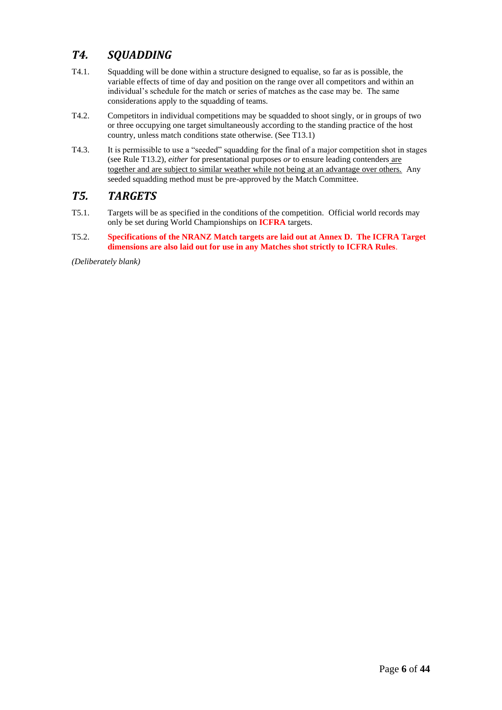## *T4. SQUADDING*

- T4.1. Squadding will be done within a structure designed to equalise, so far as is possible, the variable effects of time of day and position on the range over all competitors and within an individual's schedule for the match or series of matches as the case may be. The same considerations apply to the squadding of teams.
- T4.2. Competitors in individual competitions may be squadded to shoot singly, or in groups of two or three occupying one target simultaneously according to the standing practice of the host country, unless match conditions state otherwise. (See T13.1)
- T4.3. It is permissible to use a "seeded" squadding for the final of a major competition shot in stages (see Rule T13.2), *either* for presentational purposes *or* to ensure leading contenders are together and are subject to similar weather while not being at an advantage over others. Any seeded squadding method must be pre-approved by the Match Committee.

### *T5. TARGETS*

- T5.1. Targets will be as specified in the conditions of the competition. Official world records may only be set during World Championships on **ICFRA** targets.
- T5.2. **Specifications of the NRANZ Match targets are laid out at Annex D. The ICFRA Target dimensions are also laid out for use in any Matches shot strictly to ICFRA Rules**.

*(Deliberately blank)*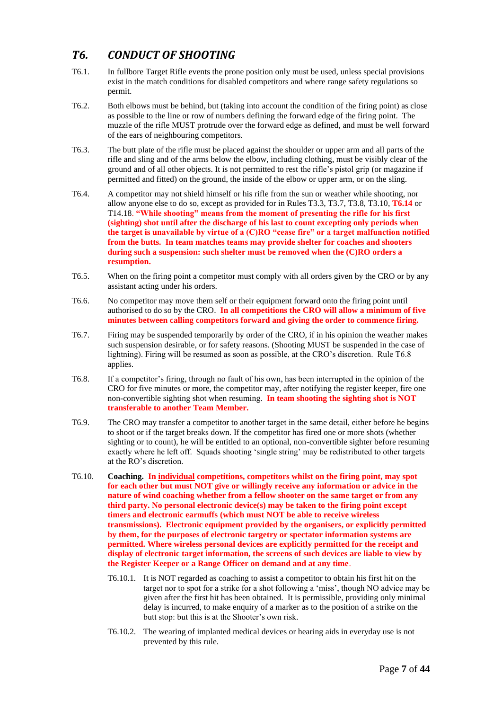## *T6. CONDUCT OF SHOOTING*

- T6.1. In fullbore Target Rifle events the prone position only must be used, unless special provisions exist in the match conditions for disabled competitors and where range safety regulations so permit.
- T6.2. Both elbows must be behind, but (taking into account the condition of the firing point) as close as possible to the line or row of numbers defining the forward edge of the firing point. The muzzle of the rifle MUST protrude over the forward edge as defined, and must be well forward of the ears of neighbouring competitors.
- T6.3. The butt plate of the rifle must be placed against the shoulder or upper arm and all parts of the rifle and sling and of the arms below the elbow, including clothing, must be visibly clear of the ground and of all other objects. It is not permitted to rest the rifle's pistol grip (or magazine if permitted and fitted) on the ground, the inside of the elbow or upper arm, or on the sling.
- T6.4. A competitor may not shield himself or his rifle from the sun or weather while shooting, nor allow anyone else to do so, except as provided for in Rules T3.3, T3.7, T3.8, T3.10, **T6.14** or T14.18. **"While shooting" means from the moment of presenting the rifle for his first (sighting) shot until after the discharge of his last to count excepting only periods when the target is unavailable by virtue of a (C)RO "cease fire" or a target malfunction notified from the butts. In team matches teams may provide shelter for coaches and shooters during such a suspension: such shelter must be removed when the (C)RO orders a resumption.**
- T6.5. When on the firing point a competitor must comply with all orders given by the CRO or by any assistant acting under his orders.
- T6.6. No competitor may move them self or their equipment forward onto the firing point until authorised to do so by the CRO. **In all competitions the CRO will allow a minimum of five minutes between calling competitors forward and giving the order to commence firing.**
- T6.7. Firing may be suspended temporarily by order of the CRO, if in his opinion the weather makes such suspension desirable, or for safety reasons. (Shooting MUST be suspended in the case of lightning). Firing will be resumed as soon as possible, at the CRO's discretion. Rule T6.8 applies.
- T6.8. If a competitor's firing, through no fault of his own, has been interrupted in the opinion of the CRO for five minutes or more, the competitor may, after notifying the register keeper, fire one non-convertible sighting shot when resuming. **In team shooting the sighting shot is NOT transferable to another Team Member.**
- T6.9. The CRO may transfer a competitor to another target in the same detail, either before he begins to shoot or if the target breaks down. If the competitor has fired one or more shots (whether sighting or to count), he will be entitled to an optional, non-convertible sighter before resuming exactly where he left off. Squads shooting 'single string' may be redistributed to other targets at the RO's discretion.
- T6.10. **Coaching. In individual competitions, competitors whilst on the firing point, may spot for each other but must NOT give or willingly receive any information or advice in the nature of wind coaching whether from a fellow shooter on the same target or from any third party. No personal electronic device(s) may be taken to the firing point except timers and electronic earmuffs (which must NOT be able to receive wireless transmissions). Electronic equipment provided by the organisers, or explicitly permitted by them, for the purposes of electronic targetry or spectator information systems are permitted. Where wireless personal devices are explicitly permitted for the receipt and display of electronic target information, the screens of such devices are liable to view by the Register Keeper or a Range Officer on demand and at any time**.
	- T6.10.1. It is NOT regarded as coaching to assist a competitor to obtain his first hit on the target nor to spot for a strike for a shot following a 'miss', though NO advice may be given after the first hit has been obtained. It is permissible, providing only minimal delay is incurred, to make enquiry of a marker as to the position of a strike on the butt stop: but this is at the Shooter's own risk.
	- T6.10.2. The wearing of implanted medical devices or hearing aids in everyday use is not prevented by this rule.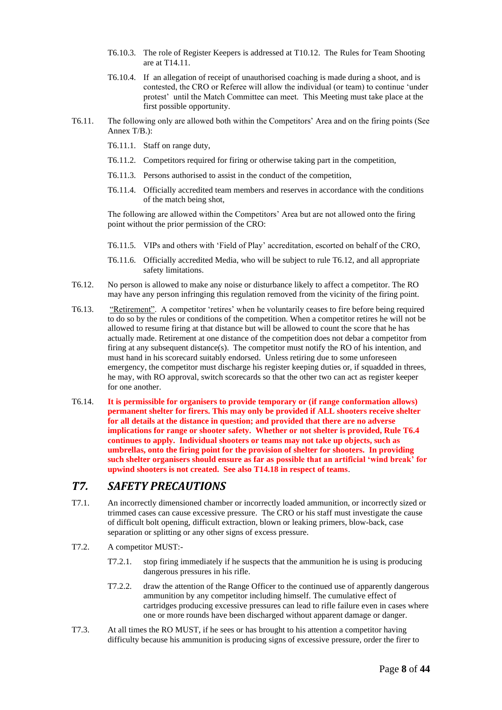- T6.10.3. The role of Register Keepers is addressed at T10.12. The Rules for Team Shooting are at T14.11.
- T6.10.4. If an allegation of receipt of unauthorised coaching is made during a shoot, and is contested, the CRO or Referee will allow the individual (or team) to continue 'under protest' until the Match Committee can meet. This Meeting must take place at the first possible opportunity.
- T6.11. The following only are allowed both within the Competitors' Area and on the firing points (See Annex T/B.):
	- T6.11.1. Staff on range duty,
	- T6.11.2. Competitors required for firing or otherwise taking part in the competition,
	- T6.11.3. Persons authorised to assist in the conduct of the competition,
	- T6.11.4. Officially accredited team members and reserves in accordance with the conditions of the match being shot,

The following are allowed within the Competitors' Area but are not allowed onto the firing point without the prior permission of the CRO:

- T6.11.5. VIPs and others with 'Field of Play' accreditation, escorted on behalf of the CRO,
- T6.11.6. Officially accredited Media, who will be subject to rule T6.12, and all appropriate safety limitations.
- T6.12. No person is allowed to make any noise or disturbance likely to affect a competitor. The RO may have any person infringing this regulation removed from the vicinity of the firing point.
- T6.13. "Retirement". A competitor 'retires' when he voluntarily ceases to fire before being required to do so by the rules or conditions of the competition. When a competitor retires he will not be allowed to resume firing at that distance but will be allowed to count the score that he has actually made. Retirement at one distance of the competition does not debar a competitor from firing at any subsequent distance(s). The competitor must notify the RO of his intention, and must hand in his scorecard suitably endorsed. Unless retiring due to some unforeseen emergency, the competitor must discharge his register keeping duties or, if squadded in threes, he may, with RO approval, switch scorecards so that the other two can act as register keeper for one another.
- T6.14. **It is permissible for organisers to provide temporary or (if range conformation allows) permanent shelter for firers. This may only be provided if ALL shooters receive shelter for all details at the distance in question; and provided that there are no adverse implications for range or shooter safety. Whether or not shelter is provided, Rule T6.4 continues to apply. Individual shooters or teams may not take up objects, such as umbrellas, onto the firing point for the provision of shelter for shooters. In providing such shelter organisers should ensure as far as possible that an artificial 'wind break' for upwind shooters is not created. See also T14.18 in respect of teams**.

### *T7. SAFETY PRECAUTIONS*

- T7.1. An incorrectly dimensioned chamber or incorrectly loaded ammunition, or incorrectly sized or trimmed cases can cause excessive pressure. The CRO or his staff must investigate the cause of difficult bolt opening, difficult extraction, blown or leaking primers, blow-back, case separation or splitting or any other signs of excess pressure.
- T7.2. A competitor MUST:-
	- T7.2.1. stop firing immediately if he suspects that the ammunition he is using is producing dangerous pressures in his rifle.
	- T7.2.2. draw the attention of the Range Officer to the continued use of apparently dangerous ammunition by any competitor including himself. The cumulative effect of cartridges producing excessive pressures can lead to rifle failure even in cases where one or more rounds have been discharged without apparent damage or danger.
- T7.3. At all times the RO MUST, if he sees or has brought to his attention a competitor having difficulty because his ammunition is producing signs of excessive pressure, order the firer to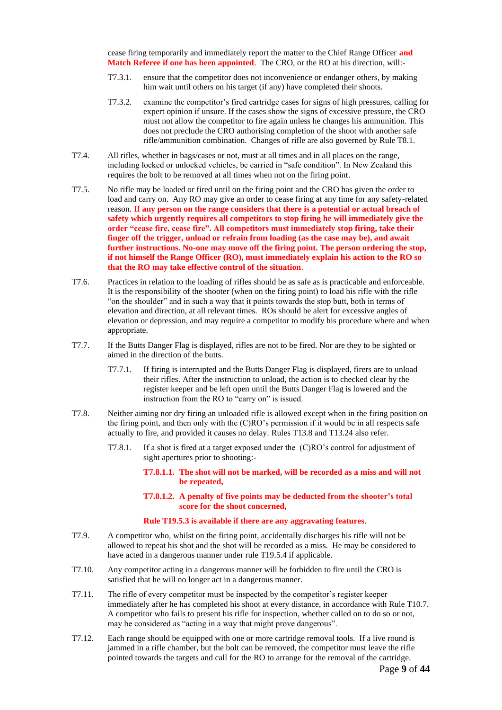cease firing temporarily and immediately report the matter to the Chief Range Officer **and Match Referee if one has been appointed**. The CRO, or the RO at his direction, will:-

- T7.3.1. ensure that the competitor does not inconvenience or endanger others, by making him wait until others on his target (if any) have completed their shoots.
- T7.3.2. examine the competitor's fired cartridge cases for signs of high pressures, calling for expert opinion if unsure. If the cases show the signs of excessive pressure, the CRO must not allow the competitor to fire again unless he changes his ammunition. This does not preclude the CRO authorising completion of the shoot with another safe rifle/ammunition combination. Changes of rifle are also governed by Rule T8.1.
- T7.4. All rifles, whether in bags/cases or not, must at all times and in all places on the range, including locked or unlocked vehicles, be carried in "safe condition". In New Zealand this requires the bolt to be removed at all times when not on the firing point.
- T7.5. No rifle may be loaded or fired until on the firing point and the CRO has given the order to load and carry on. Any RO may give an order to cease firing at any time for any safety-related reason. **If any person on the range considers that there is a potential or actual breach of safety which urgently requires all competitors to stop firing he will immediately give the order "cease fire, cease fire". All competitors must immediately stop firing, take their finger off the trigger, unload or refrain from loading (as the case may be), and await further instructions. No-one may move off the firing point. The person ordering the stop, if not himself the Range Officer (RO), must immediately explain his action to the RO so that the RO may take effective control of the situation**.
- T7.6. Practices in relation to the loading of rifles should be as safe as is practicable and enforceable. It is the responsibility of the shooter (when on the firing point) to load his rifle with the rifle "on the shoulder" and in such a way that it points towards the stop butt, both in terms of elevation and direction, at all relevant times. ROs should be alert for excessive angles of elevation or depression, and may require a competitor to modify his procedure where and when appropriate.
- T7.7. If the Butts Danger Flag is displayed, rifles are not to be fired. Nor are they to be sighted or aimed in the direction of the butts.
	- T7.7.1. If firing is interrupted and the Butts Danger Flag is displayed, firers are to unload their rifles. After the instruction to unload, the action is to checked clear by the register keeper and be left open until the Butts Danger Flag is lowered and the instruction from the RO to "carry on" is issued.
- T7.8. Neither aiming nor dry firing an unloaded rifle is allowed except when in the firing position on the firing point, and then only with the (C)RO's permission if it would be in all respects safe actually to fire, and provided it causes no delay. Rules T13.8 and T13.24 also refer.
	- T7.8.1. If a shot is fired at a target exposed under the (C)RO's control for adjustment of sight apertures prior to shooting:-
		- **T7.8.1.1. The shot will not be marked, will be recorded as a miss and will not be repeated,**
		- **T7.8.1.2. A penalty of five points may be deducted from the shooter's total score for the shoot concerned,**

#### **Rule T19.5.3 is available if there are any aggravating features**.

- T7.9. A competitor who, whilst on the firing point, accidentally discharges his rifle will not be allowed to repeat his shot and the shot will be recorded as a miss. He may be considered to have acted in a dangerous manner under rule T19.5.4 if applicable.
- T7.10. Any competitor acting in a dangerous manner will be forbidden to fire until the CRO is satisfied that he will no longer act in a dangerous manner.
- T7.11. The rifle of every competitor must be inspected by the competitor's register keeper immediately after he has completed his shoot at every distance, in accordance with Rule T10.7. A competitor who fails to present his rifle for inspection, whether called on to do so or not, may be considered as "acting in a way that might prove dangerous".
- T7.12. Each range should be equipped with one or more cartridge removal tools. If a live round is jammed in a rifle chamber, but the bolt can be removed, the competitor must leave the rifle pointed towards the targets and call for the RO to arrange for the removal of the cartridge.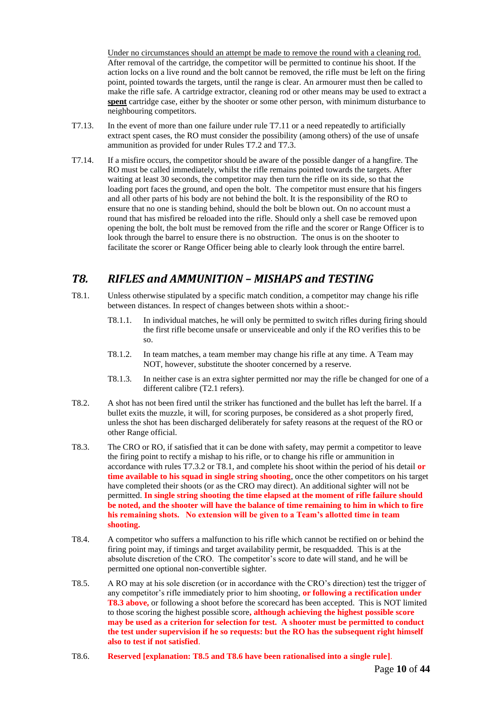Under no circumstances should an attempt be made to remove the round with a cleaning rod. After removal of the cartridge, the competitor will be permitted to continue his shoot. If the action locks on a live round and the bolt cannot be removed, the rifle must be left on the firing point, pointed towards the targets, until the range is clear. An armourer must then be called to make the rifle safe. A cartridge extractor, cleaning rod or other means may be used to extract a **spent** cartridge case, either by the shooter or some other person, with minimum disturbance to neighbouring competitors.

- T7.13. In the event of more than one failure under rule T7.11 or a need repeatedly to artificially extract spent cases, the RO must consider the possibility (among others) of the use of unsafe ammunition as provided for under Rules T7.2 and T7.3.
- T7.14. If a misfire occurs, the competitor should be aware of the possible danger of a hangfire. The RO must be called immediately, whilst the rifle remains pointed towards the targets. After waiting at least 30 seconds, the competitor may then turn the rifle on its side, so that the loading port faces the ground, and open the bolt. The competitor must ensure that his fingers and all other parts of his body are not behind the bolt. It is the responsibility of the RO to ensure that no one is standing behind, should the bolt be blown out. On no account must a round that has misfired be reloaded into the rifle. Should only a shell case be removed upon opening the bolt, the bolt must be removed from the rifle and the scorer or Range Officer is to look through the barrel to ensure there is no obstruction. The onus is on the shooter to facilitate the scorer or Range Officer being able to clearly look through the entire barrel.

## *T8. RIFLES and AMMUNITION – MISHAPS and TESTING*

- T8.1. Unless otherwise stipulated by a specific match condition, a competitor may change his rifle between distances. In respect of changes between shots within a shoot:-
	- T8.1.1. In individual matches, he will only be permitted to switch rifles during firing should the first rifle become unsafe or unserviceable and only if the RO verifies this to be so.
	- T8.1.2. In team matches, a team member may change his rifle at any time. A Team may NOT, however, substitute the shooter concerned by a reserve.
	- T8.1.3. In neither case is an extra sighter permitted nor may the rifle be changed for one of a different calibre (T2.1 refers).
- T8.2. A shot has not been fired until the striker has functioned and the bullet has left the barrel. If a bullet exits the muzzle, it will, for scoring purposes, be considered as a shot properly fired, unless the shot has been discharged deliberately for safety reasons at the request of the RO or other Range official.
- T8.3. The CRO or RO, if satisfied that it can be done with safety, may permit a competitor to leave the firing point to rectify a mishap to his rifle, or to change his rifle or ammunition in accordance with rules T7.3.2 or T8.1, and complete his shoot within the period of his detail **or time available to his squad in single string shooting**, once the other competitors on his target have completed their shoots (or as the CRO may direct). An additional sighter will not be permitted. **In single string shooting the time elapsed at the moment of rifle failure should be noted, and the shooter will have the balance of time remaining to him in which to fire his remaining shots. No extension will be given to a Team's allotted time in team shooting.**
- T8.4. A competitor who suffers a malfunction to his rifle which cannot be rectified on or behind the firing point may, if timings and target availability permit, be resquadded. This is at the absolute discretion of the CRO. The competitor's score to date will stand, and he will be permitted one optional non-convertible sighter.
- T8.5. A RO may at his sole discretion (or in accordance with the CRO's direction) test the trigger of any competitor's rifle immediately prior to him shooting, **or following a rectification under T8.3 above,** or following a shoot before the scorecard has been accepted. This is NOT limited to those scoring the highest possible score**, although achieving the highest possible score may be used as a criterion for selection for test. A shooter must be permitted to conduct the test under supervision if he so requests: but the RO has the subsequent right himself also to test if not satisfied**.
- T8.6. **Reserved [explanation: T8.5 and T8.6 have been rationalised into a single rule]**.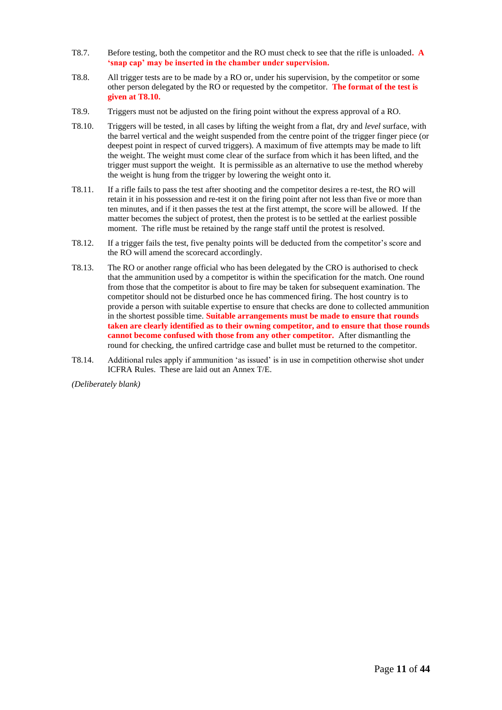- T8.7. Before testing, both the competitor and the RO must check to see that the rifle is unloaded**. A 'snap cap' may be inserted in the chamber under supervision.**
- T8.8. All trigger tests are to be made by a RO or, under his supervision, by the competitor or some other person delegated by the RO or requested by the competitor. **The format of the test is given at T8.10.**
- T8.9. Triggers must not be adjusted on the firing point without the express approval of a RO.
- T8.10. Triggers will be tested, in all cases by lifting the weight from a flat, dry and *level* surface, with the barrel vertical and the weight suspended from the centre point of the trigger finger piece (or deepest point in respect of curved triggers). A maximum of five attempts may be made to lift the weight. The weight must come clear of the surface from which it has been lifted, and the trigger must support the weight. It is permissible as an alternative to use the method whereby the weight is hung from the trigger by lowering the weight onto it.
- T8.11. If a rifle fails to pass the test after shooting and the competitor desires a re-test, the RO will retain it in his possession and re-test it on the firing point after not less than five or more than ten minutes, and if it then passes the test at the first attempt, the score will be allowed. If the matter becomes the subject of protest, then the protest is to be settled at the earliest possible moment. The rifle must be retained by the range staff until the protest is resolved.
- T8.12. If a trigger fails the test, five penalty points will be deducted from the competitor's score and the RO will amend the scorecard accordingly.
- T8.13. The RO or another range official who has been delegated by the CRO is authorised to check that the ammunition used by a competitor is within the specification for the match. One round from those that the competitor is about to fire may be taken for subsequent examination. The competitor should not be disturbed once he has commenced firing. The host country is to provide a person with suitable expertise to ensure that checks are done to collected ammunition in the shortest possible time. **Suitable arrangements must be made to ensure that rounds taken are clearly identified as to their owning competitor, and to ensure that those rounds cannot become confused with those from any other competitor.** After dismantling the round for checking, the unfired cartridge case and bullet must be returned to the competitor.
- T8.14. Additional rules apply if ammunition 'as issued' is in use in competition otherwise shot under ICFRA Rules. These are laid out an Annex T/E.

*(Deliberately blank)*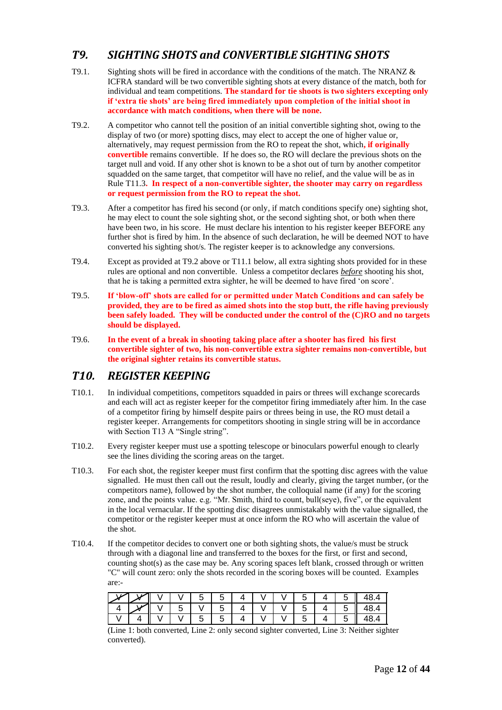## *T9. SIGHTING SHOTS and CONVERTIBLE SIGHTING SHOTS*

- T9.1. Sighting shots will be fired in accordance with the conditions of the match. The NRANZ  $\&$ ICFRA standard will be two convertible sighting shots at every distance of the match, both for individual and team competitions. **The standard for tie shoots is two sighters excepting only if 'extra tie shots' are being fired immediately upon completion of the initial shoot in accordance with match conditions, when there will be none.**
- T9.2. A competitor who cannot tell the position of an initial convertible sighting shot, owing to the display of two (or more) spotting discs, may elect to accept the one of higher value or, alternatively, may request permission from the RO to repeat the shot, which**, if originally convertible** remains convertible. If he does so, the RO will declare the previous shots on the target null and void. If any other shot is known to be a shot out of turn by another competitor squadded on the same target, that competitor will have no relief, and the value will be as in Rule T11.3**. In respect of a non-convertible sighter, the shooter may carry on regardless or request permission from the RO to repeat the shot.**
- T9.3. After a competitor has fired his second (or only, if match conditions specify one) sighting shot, he may elect to count the sole sighting shot, or the second sighting shot, or both when there have been two, in his score. He must declare his intention to his register keeper BEFORE any further shot is fired by him. In the absence of such declaration, he will be deemed NOT to have converted his sighting shot/s. The register keeper is to acknowledge any conversions.
- T9.4. Except as provided at T9.2 above or T11.1 below, all extra sighting shots provided for in these rules are optional and non convertible. Unless a competitor declares *before* shooting his shot, that he is taking a permitted extra sighter, he will be deemed to have fired 'on score'.
- T9.5. **If 'blow-off' shots are called for or permitted under Match Conditions and can safely be provided, they are to be fired as aimed shots into the stop butt, the rifle having previously been safely loaded. They will be conducted under the control of the (C)RO and no targets should be displayed.**
- T9.6. **In the event of a break in shooting taking place after a shooter has fired his first convertible sighter of two, his non-convertible extra sighter remains non-convertible, but the original sighter retains its convertible status.**

### *T10. REGISTER KEEPING*

- T10.1. In individual competitions, competitors squadded in pairs or threes will exchange scorecards and each will act as register keeper for the competitor firing immediately after him. In the case of a competitor firing by himself despite pairs or threes being in use, the RO must detail a register keeper. Arrangements for competitors shooting in single string will be in accordance with Section T13 A "Single string".
- T10.2. Every register keeper must use a spotting telescope or binoculars powerful enough to clearly see the lines dividing the scoring areas on the target.
- T10.3. For each shot, the register keeper must first confirm that the spotting disc agrees with the value signalled. He must then call out the result, loudly and clearly, giving the target number, (or the competitors name), followed by the shot number, the colloquial name (if any) for the scoring zone, and the points value. e.g. "Mr. Smith, third to count, bull(seye), five", or the equivalent in the local vernacular. If the spotting disc disagrees unmistakably with the value signalled, the competitor or the register keeper must at once inform the RO who will ascertain the value of the shot.
- T10.4. If the competitor decides to convert one or both sighting shots, the value/s must be struck through with a diagonal line and transferred to the boxes for the first, or first and second, counting shot(s) as the case may be. Any scoring spaces left blank, crossed through or written "C" will count zero: only the shots recorded in the scoring boxes will be counted. Examples are:-

| $\overline{\mathscr{K}}$ |  |  |  |  |  | Е. |  |
|--------------------------|--|--|--|--|--|----|--|
|                          |  |  |  |  |  |    |  |
|                          |  |  |  |  |  |    |  |

(Line 1: both converted, Line 2: only second sighter converted, Line 3: Neither sighter converted).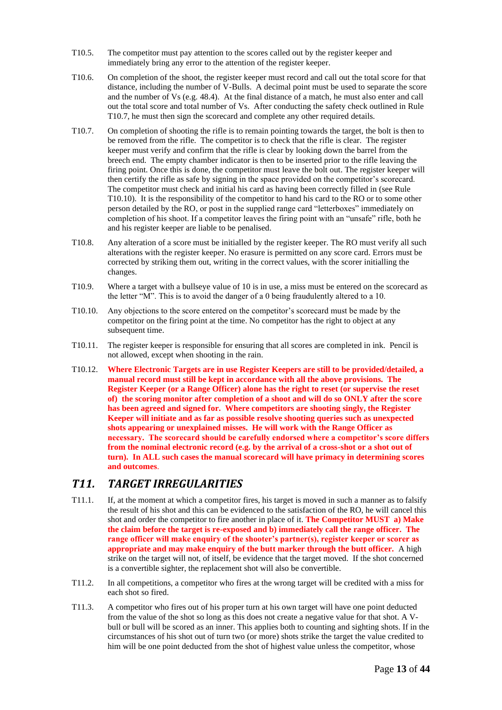- T10.5. The competitor must pay attention to the scores called out by the register keeper and immediately bring any error to the attention of the register keeper.
- T10.6. On completion of the shoot, the register keeper must record and call out the total score for that distance, including the number of V-Bulls. A decimal point must be used to separate the score and the number of Vs (e.g. 48.4). At the final distance of a match, he must also enter and call out the total score and total number of Vs. After conducting the safety check outlined in Rule T10.7, he must then sign the scorecard and complete any other required details.
- T10.7. On completion of shooting the rifle is to remain pointing towards the target, the bolt is then to be removed from the rifle. The competitor is to check that the rifle is clear. The register keeper must verify and confirm that the rifle is clear by looking down the barrel from the breech end. The empty chamber indicator is then to be inserted prior to the rifle leaving the firing point. Once this is done, the competitor must leave the bolt out. The register keeper will then certify the rifle as safe by signing in the space provided on the competitor's scorecard. The competitor must check and initial his card as having been correctly filled in (see Rule T10.10). It is the responsibility of the competitor to hand his card to the RO or to some other person detailed by the RO, or post in the supplied range card "letterboxes" immediately on completion of his shoot. If a competitor leaves the firing point with an "unsafe" rifle, both he and his register keeper are liable to be penalised.
- T10.8. Any alteration of a score must be initialled by the register keeper. The RO must verify all such alterations with the register keeper. No erasure is permitted on any score card. Errors must be corrected by striking them out, writing in the correct values, with the scorer initialling the changes.
- T10.9. Where a target with a bullseye value of 10 is in use, a miss must be entered on the scorecard as the letter "M". This is to avoid the danger of a 0 being fraudulently altered to a 10.
- T10.10. Any objections to the score entered on the competitor's scorecard must be made by the competitor on the firing point at the time. No competitor has the right to object at any subsequent time.
- T10.11. The register keeper is responsible for ensuring that all scores are completed in ink. Pencil is not allowed, except when shooting in the rain.
- T10.12. **Where Electronic Targets are in use Register Keepers are still to be provided/detailed, a manual record must still be kept in accordance with all the above provisions. The Register Keeper (or a Range Officer) alone has the right to reset (or supervise the reset of) the scoring monitor after completion of a shoot and will do so ONLY after the score has been agreed and signed for. Where competitors are shooting singly, the Register Keeper will initiate and as far as possible resolve shooting queries such as unexpected shots appearing or unexplained misses. He will work with the Range Officer as necessary. The scorecard should be carefully endorsed where a competitor's score differs from the nominal electronic record (e.g. by the arrival of a cross-shot or a shot out of turn). In ALL such cases the manual scorecard will have primacy in determining scores and outcomes**.

## *T11. TARGET IRREGULARITIES*

- T11.1. If, at the moment at which a competitor fires, his target is moved in such a manner as to falsify the result of his shot and this can be evidenced to the satisfaction of the RO, he will cancel this shot and order the competitor to fire another in place of it. **The Competitor MUST a) Make the claim before the target is re-exposed and b) immediately call the range officer. The range officer will make enquiry of the shooter's partner(s), register keeper or scorer as appropriate and may make enquiry of the butt marker through the butt officer.** A high strike on the target will not, of itself, be evidence that the target moved. If the shot concerned is a convertible sighter, the replacement shot will also be convertible.
- T11.2. In all competitions, a competitor who fires at the wrong target will be credited with a miss for each shot so fired.
- T11.3. A competitor who fires out of his proper turn at his own target will have one point deducted from the value of the shot so long as this does not create a negative value for that shot. A Vbull or bull will be scored as an inner. This applies both to counting and sighting shots. If in the circumstances of his shot out of turn two (or more) shots strike the target the value credited to him will be one point deducted from the shot of highest value unless the competitor, whose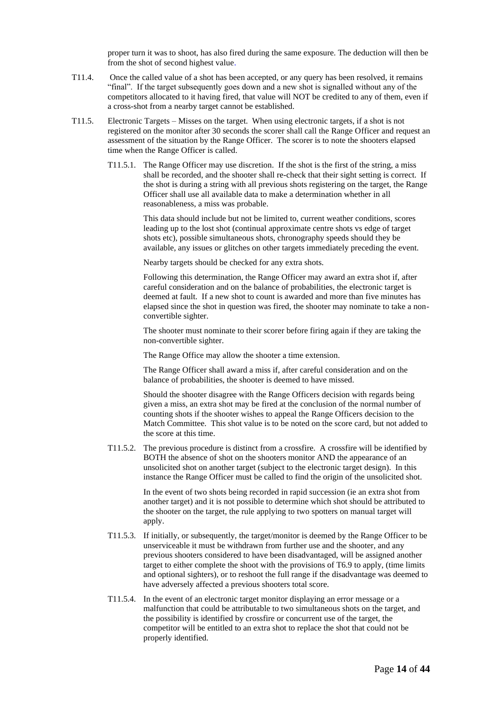proper turn it was to shoot, has also fired during the same exposure. The deduction will then be from the shot of second highest value.

- T11.4. Once the called value of a shot has been accepted, or any query has been resolved, it remains "final". If the target subsequently goes down and a new shot is signalled without any of the competitors allocated to it having fired, that value will NOT be credited to any of them, even if a cross-shot from a nearby target cannot be established.
- T11.5. Electronic Targets Misses on the target. When using electronic targets, if a shot is not registered on the monitor after 30 seconds the scorer shall call the Range Officer and request an assessment of the situation by the Range Officer. The scorer is to note the shooters elapsed time when the Range Officer is called.
	- T11.5.1. The Range Officer may use discretion. If the shot is the first of the string, a miss shall be recorded, and the shooter shall re-check that their sight setting is correct. If the shot is during a string with all previous shots registering on the target, the Range Officer shall use all available data to make a determination whether in all reasonableness, a miss was probable.

This data should include but not be limited to, current weather conditions, scores leading up to the lost shot (continual approximate centre shots vs edge of target shots etc), possible simultaneous shots, chronography speeds should they be available, any issues or glitches on other targets immediately preceding the event.

Nearby targets should be checked for any extra shots.

Following this determination, the Range Officer may award an extra shot if, after careful consideration and on the balance of probabilities, the electronic target is deemed at fault. If a new shot to count is awarded and more than five minutes has elapsed since the shot in question was fired, the shooter may nominate to take a nonconvertible sighter.

The shooter must nominate to their scorer before firing again if they are taking the non-convertible sighter.

The Range Office may allow the shooter a time extension.

The Range Officer shall award a miss if, after careful consideration and on the balance of probabilities, the shooter is deemed to have missed.

Should the shooter disagree with the Range Officers decision with regards being given a miss, an extra shot may be fired at the conclusion of the normal number of counting shots if the shooter wishes to appeal the Range Officers decision to the Match Committee. This shot value is to be noted on the score card, but not added to the score at this time.

T11.5.2. The previous procedure is distinct from a crossfire. A crossfire will be identified by BOTH the absence of shot on the shooters monitor AND the appearance of an unsolicited shot on another target (subject to the electronic target design). In this instance the Range Officer must be called to find the origin of the unsolicited shot.

> In the event of two shots being recorded in rapid succession (ie an extra shot from another target) and it is not possible to determine which shot should be attributed to the shooter on the target, the rule applying to two spotters on manual target will apply.

- T11.5.3. If initially, or subsequently, the target/monitor is deemed by the Range Officer to be unserviceable it must be withdrawn from further use and the shooter, and any previous shooters considered to have been disadvantaged, will be assigned another target to either complete the shoot with the provisions of T6.9 to apply, (time limits and optional sighters), or to reshoot the full range if the disadvantage was deemed to have adversely affected a previous shooters total score.
- T11.5.4. In the event of an electronic target monitor displaying an error message or a malfunction that could be attributable to two simultaneous shots on the target, and the possibility is identified by crossfire or concurrent use of the target, the competitor will be entitled to an extra shot to replace the shot that could not be properly identified.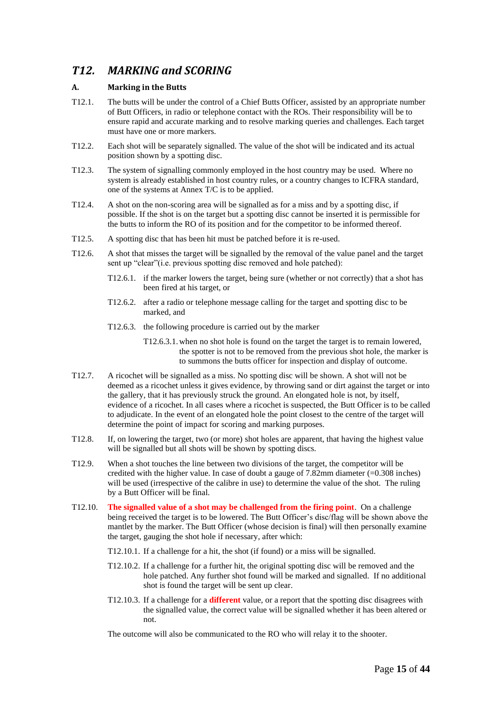## *T12. MARKING and SCORING*

### **A. Marking in the Butts**

- T12.1. The butts will be under the control of a Chief Butts Officer, assisted by an appropriate number of Butt Officers, in radio or telephone contact with the ROs. Their responsibility will be to ensure rapid and accurate marking and to resolve marking queries and challenges. Each target must have one or more markers.
- T12.2. Each shot will be separately signalled. The value of the shot will be indicated and its actual position shown by a spotting disc.
- T12.3. The system of signalling commonly employed in the host country may be used. Where no system is already established in host country rules, or a country changes to ICFRA standard, one of the systems at Annex T/C is to be applied.
- T12.4. A shot on the non-scoring area will be signalled as for a miss and by a spotting disc, if possible. If the shot is on the target but a spotting disc cannot be inserted it is permissible for the butts to inform the RO of its position and for the competitor to be informed thereof.
- T12.5. A spotting disc that has been hit must be patched before it is re-used.
- T12.6. A shot that misses the target will be signalled by the removal of the value panel and the target sent up "clear"(i.e. previous spotting disc removed and hole patched):
	- T12.6.1. if the marker lowers the target, being sure (whether or not correctly) that a shot has been fired at his target, or
	- T12.6.2. after a radio or telephone message calling for the target and spotting disc to be marked, and
	- T12.6.3. the following procedure is carried out by the marker
		- T12.6.3.1.when no shot hole is found on the target the target is to remain lowered, the spotter is not to be removed from the previous shot hole, the marker is to summons the butts officer for inspection and display of outcome.
- T12.7. A ricochet will be signalled as a miss. No spotting disc will be shown. A shot will not be deemed as a ricochet unless it gives evidence, by throwing sand or dirt against the target or into the gallery, that it has previously struck the ground. An elongated hole is not, by itself, evidence of a ricochet. In all cases where a ricochet is suspected, the Butt Officer is to be called to adjudicate. In the event of an elongated hole the point closest to the centre of the target will determine the point of impact for scoring and marking purposes.
- T12.8. If, on lowering the target, two (or more) shot holes are apparent, that having the highest value will be signalled but all shots will be shown by spotting discs.
- T12.9. When a shot touches the line between two divisions of the target, the competitor will be credited with the higher value. In case of doubt a gauge of  $7.82 \text{mm}$  diameter (=0.308 inches) will be used (irrespective of the calibre in use) to determine the value of the shot. The ruling by a Butt Officer will be final.
- T12.10. **The signalled value of a shot may be challenged from the firing point**. On a challenge being received the target is to be lowered. The Butt Officer's disc/flag will be shown above the mantlet by the marker. The Butt Officer (whose decision is final) will then personally examine the target, gauging the shot hole if necessary, after which:
	- T12.10.1. If a challenge for a hit, the shot (if found) or a miss will be signalled.
	- T12.10.2. If a challenge for a further hit, the original spotting disc will be removed and the hole patched. Any further shot found will be marked and signalled. If no additional shot is found the target will be sent up clear.
	- T12.10.3. If a challenge for a **different** value, or a report that the spotting disc disagrees with the signalled value, the correct value will be signalled whether it has been altered or not.

The outcome will also be communicated to the RO who will relay it to the shooter.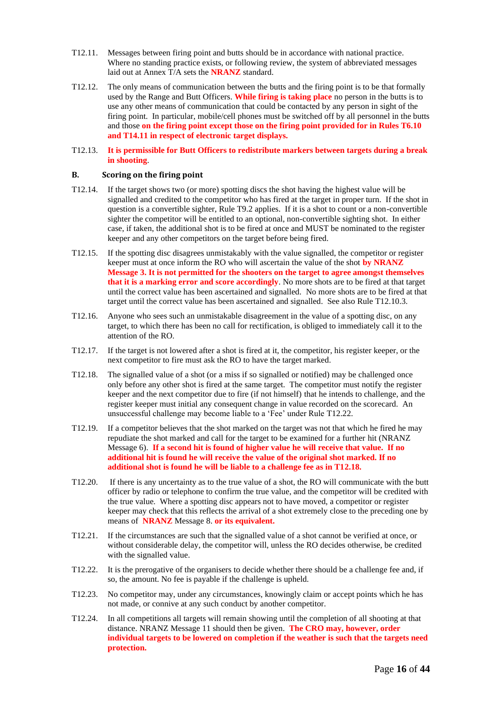- T12.11. Messages between firing point and butts should be in accordance with national practice. Where no standing practice exists, or following review, the system of abbreviated messages laid out at Annex T/A sets the **NRANZ** standard.
- T12.12. The only means of communication between the butts and the firing point is to be that formally used by the Range and Butt Officers. **While firing is taking place** no person in the butts is to use any other means of communication that could be contacted by any person in sight of the firing point. In particular, mobile/cell phones must be switched off by all personnel in the butts and those **on the firing point except those on the firing point provided for in Rules T6.10 and T14.11 in respect of electronic target displays.**
- T12.13. **It is permissible for Butt Officers to redistribute markers between targets during a break in shooting**.

#### **B. Scoring on the firing point**

- T12.14. If the target shows two (or more) spotting discs the shot having the highest value will be signalled and credited to the competitor who has fired at the target in proper turn. If the shot in question is a convertible sighter, Rule T9.2 applies. If it is a shot to count or a non-convertible sighter the competitor will be entitled to an optional, non-convertible sighting shot. In either case, if taken, the additional shot is to be fired at once and MUST be nominated to the register keeper and any other competitors on the target before being fired.
- T12.15. If the spotting disc disagrees unmistakably with the value signalled, the competitor or register keeper must at once inform the RO who will ascertain the value of the shot **by NRANZ Message 3. It is not permitted for the shooters on the target to agree amongst themselves that it is a marking error and score accordingly**. No more shots are to be fired at that target until the correct value has been ascertained and signalled. No more shots are to be fired at that target until the correct value has been ascertained and signalled. See also Rule T12.10.3.
- T12.16. Anyone who sees such an unmistakable disagreement in the value of a spotting disc, on any target, to which there has been no call for rectification, is obliged to immediately call it to the attention of the RO.
- T12.17. If the target is not lowered after a shot is fired at it, the competitor, his register keeper, or the next competitor to fire must ask the RO to have the target marked.
- T12.18. The signalled value of a shot (or a miss if so signalled or notified) may be challenged once only before any other shot is fired at the same target. The competitor must notify the register keeper and the next competitor due to fire (if not himself) that he intends to challenge, and the register keeper must initial any consequent change in value recorded on the scorecard. An unsuccessful challenge may become liable to a 'Fee' under Rule T12.22.
- T12.19. If a competitor believes that the shot marked on the target was not that which he fired he may repudiate the shot marked and call for the target to be examined for a further hit (NRANZ Message 6). **If a second hit is found of higher value he will receive that value. If no additional hit is found he will receive the value of the original shot marked. If no additional shot is found he will be liable to a challenge fee as in T12.18.**
- T12.20. If there is any uncertainty as to the true value of a shot, the RO will communicate with the butt officer by radio or telephone to confirm the true value, and the competitor will be credited with the true value. Where a spotting disc appears not to have moved, a competitor or register keeper may check that this reflects the arrival of a shot extremely close to the preceding one by means of **NRANZ** Message 8. **or its equivalent.**
- T12.21. If the circumstances are such that the signalled value of a shot cannot be verified at once, or without considerable delay, the competitor will, unless the RO decides otherwise, be credited with the signalled value.
- T12.22. It is the prerogative of the organisers to decide whether there should be a challenge fee and, if so, the amount. No fee is payable if the challenge is upheld.
- T12.23. No competitor may, under any circumstances, knowingly claim or accept points which he has not made, or connive at any such conduct by another competitor.
- T12.24. In all competitions all targets will remain showing until the completion of all shooting at that distance. NRANZ Message 11 should then be given. **The CRO may, however, order individual targets to be lowered on completion if the weather is such that the targets need protection.**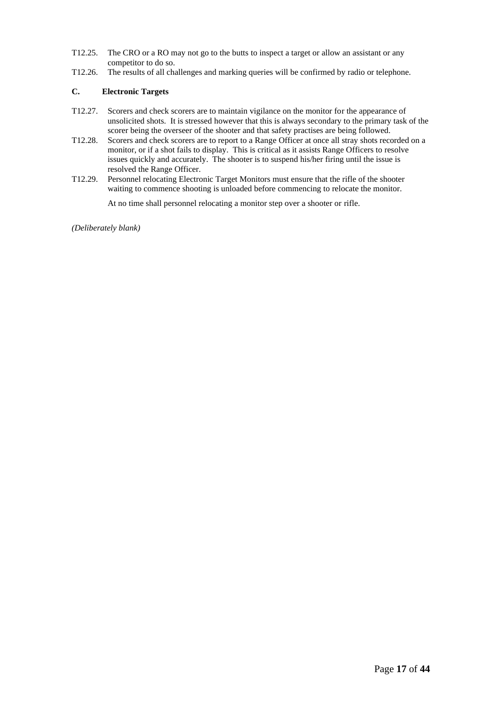- T12.25. The CRO or a RO may not go to the butts to inspect a target or allow an assistant or any competitor to do so.
- T12.26. The results of all challenges and marking queries will be confirmed by radio or telephone.

### **C. Electronic Targets**

- T12.27. Scorers and check scorers are to maintain vigilance on the monitor for the appearance of unsolicited shots. It is stressed however that this is always secondary to the primary task of the scorer being the overseer of the shooter and that safety practises are being followed.
- T12.28. Scorers and check scorers are to report to a Range Officer at once all stray shots recorded on a monitor, or if a shot fails to display. This is critical as it assists Range Officers to resolve issues quickly and accurately. The shooter is to suspend his/her firing until the issue is resolved the Range Officer.
- T12.29. Personnel relocating Electronic Target Monitors must ensure that the rifle of the shooter waiting to commence shooting is unloaded before commencing to relocate the monitor.

At no time shall personnel relocating a monitor step over a shooter or rifle.

*(Deliberately blank)*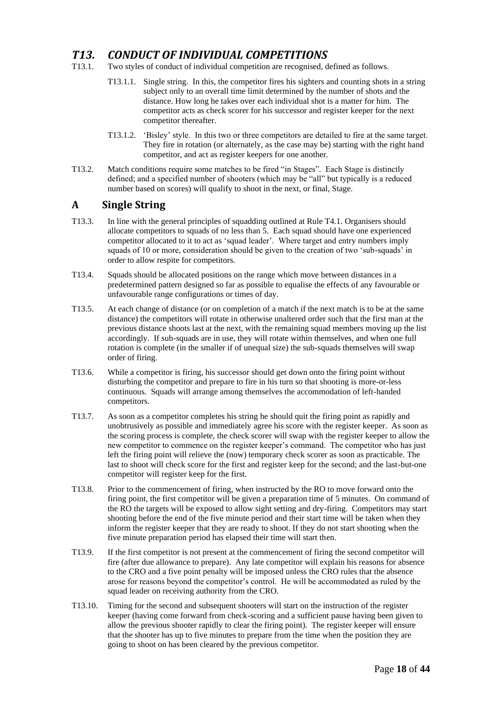## *T13. CONDUCT OF INDIVIDUAL COMPETITIONS*

- T13.1. Two styles of conduct of individual competition are recognised, defined as follows.
	- T13.1.1. Single string. In this, the competitor fires his sighters and counting shots in a string subject only to an overall time limit determined by the number of shots and the distance. How long he takes over each individual shot is a matter for him. The competitor acts as check scorer for his successor and register keeper for the next competitor thereafter.
	- T13.1.2. 'Bisley' style. In this two or three competitors are detailed to fire at the same target. They fire in rotation (or alternately, as the case may be) starting with the right hand competitor, and act as register keepers for one another.
- T13.2. Match conditions require some matches to be fired "in Stages". Each Stage is distinctly defined; and a specified number of shooters (which may be "all" but typically is a reduced number based on scores) will qualify to shoot in the next, or final, Stage.

### **A Single String**

- T13.3. In line with the general principles of squadding outlined at Rule T4.1. Organisers should allocate competitors to squads of no less than 5. Each squad should have one experienced competitor allocated to it to act as 'squad leader'. Where target and entry numbers imply squads of 10 or more, consideration should be given to the creation of two 'sub-squads' in order to allow respite for competitors.
- T13.4. Squads should be allocated positions on the range which move between distances in a predetermined pattern designed so far as possible to equalise the effects of any favourable or unfavourable range configurations or times of day.
- T13.5. At each change of distance (or on completion of a match if the next match is to be at the same distance) the competitors will rotate in otherwise unaltered order such that the first man at the previous distance shoots last at the next, with the remaining squad members moving up the list accordingly. If sub-squads are in use, they will rotate within themselves, and when one full rotation is complete (in the smaller if of unequal size) the sub-squads themselves will swap order of firing.
- T13.6. While a competitor is firing, his successor should get down onto the firing point without disturbing the competitor and prepare to fire in his turn so that shooting is more-or-less continuous. Squads will arrange among themselves the accommodation of left-handed competitors.
- T13.7. As soon as a competitor completes his string he should quit the firing point as rapidly and unobtrusively as possible and immediately agree his score with the register keeper. As soon as the scoring process is complete, the check scorer will swap with the register keeper to allow the new competitor to commence on the register keeper's command. The competitor who has just left the firing point will relieve the (now) temporary check scorer as soon as practicable. The last to shoot will check score for the first and register keep for the second; and the last-but-one competitor will register keep for the first.
- T13.8. Prior to the commencement of firing, when instructed by the RO to move forward onto the firing point, the first competitor will be given a preparation time of 5 minutes. On command of the RO the targets will be exposed to allow sight setting and dry-firing. Competitors may start shooting before the end of the five minute period and their start time will be taken when they inform the register keeper that they are ready to shoot. If they do not start shooting when the five minute preparation period has elapsed their time will start then.
- T13.9. If the first competitor is not present at the commencement of firing the second competitor will fire (after due allowance to prepare). Any late competitor will explain his reasons for absence to the CRO and a five point penalty will be imposed unless the CRO rules that the absence arose for reasons beyond the competitor's control. He will be accommodated as ruled by the squad leader on receiving authority from the CRO.
- T13.10. Timing for the second and subsequent shooters will start on the instruction of the register keeper (having come forward from check-scoring and a sufficient pause having been given to allow the previous shooter rapidly to clear the firing point). The register keeper will ensure that the shooter has up to five minutes to prepare from the time when the position they are going to shoot on has been cleared by the previous competitor.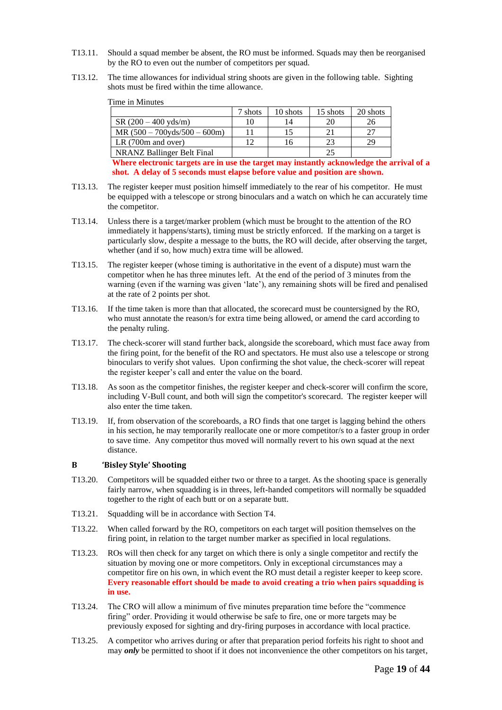- T13.11. Should a squad member be absent, the RO must be informed. Squads may then be reorganised by the RO to even out the number of competitors per squad.
- T13.12. The time allowances for individual string shoots are given in the following table. Sighting shots must be fired within the time allowance.

Time in Minutes

|                                   | 7 shots | 10 shots | 15 shots | 20 shots |
|-----------------------------------|---------|----------|----------|----------|
| $SR(200-400 \text{ vds/m})$       |         |          | 20       |          |
| $MR (500 - 700yds/500 - 600m)$    |         |          |          |          |
| LR $(700m$ and over)              |         | l6       | 23       |          |
| <b>NRANZ Ballinger Belt Final</b> |         |          | 2.5      |          |

**Where electronic targets are in use the target may instantly acknowledge the arrival of a shot. A delay of 5 seconds must elapse before value and position are shown.**

- T13.13. The register keeper must position himself immediately to the rear of his competitor. He must be equipped with a telescope or strong binoculars and a watch on which he can accurately time the competitor.
- T13.14. Unless there is a target/marker problem (which must be brought to the attention of the RO immediately it happens/starts), timing must be strictly enforced. If the marking on a target is particularly slow, despite a message to the butts, the RO will decide, after observing the target, whether (and if so, how much) extra time will be allowed.
- T13.15. The register keeper (whose timing is authoritative in the event of a dispute) must warn the competitor when he has three minutes left. At the end of the period of 3 minutes from the warning (even if the warning was given 'late'), any remaining shots will be fired and penalised at the rate of 2 points per shot.
- T13.16. If the time taken is more than that allocated, the scorecard must be countersigned by the RO, who must annotate the reason/s for extra time being allowed, or amend the card according to the penalty ruling.
- T13.17. The check-scorer will stand further back, alongside the scoreboard, which must face away from the firing point, for the benefit of the RO and spectators. He must also use a telescope or strong binoculars to verify shot values. Upon confirming the shot value, the check-scorer will repeat the register keeper's call and enter the value on the board.
- T13.18. As soon as the competitor finishes, the register keeper and check-scorer will confirm the score, including V-Bull count, and both will sign the competitor's scorecard. The register keeper will also enter the time taken.
- T13.19. If, from observation of the scoreboards, a RO finds that one target is lagging behind the others in his section, he may temporarily reallocate one or more competitor/s to a faster group in order to save time. Any competitor thus moved will normally revert to his own squad at the next distance.

#### **B 'Bisley Style' Shooting**

- T13.20. Competitors will be squadded either two or three to a target. As the shooting space is generally fairly narrow, when squadding is in threes, left-handed competitors will normally be squadded together to the right of each butt or on a separate butt.
- T13.21. Squadding will be in accordance with Section T4.
- T13.22. When called forward by the RO, competitors on each target will position themselves on the firing point, in relation to the target number marker as specified in local regulations.
- T13.23. ROs will then check for any target on which there is only a single competitor and rectify the situation by moving one or more competitors. Only in exceptional circumstances may a competitor fire on his own, in which event the RO must detail a register keeper to keep score. **Every reasonable effort should be made to avoid creating a trio when pairs squadding is in use.**
- T13.24. The CRO will allow a minimum of five minutes preparation time before the "commence firing" order. Providing it would otherwise be safe to fire, one or more targets may be previously exposed for sighting and dry-firing purposes in accordance with local practice.
- T13.25. A competitor who arrives during or after that preparation period forfeits his right to shoot and may *only* be permitted to shoot if it does not inconvenience the other competitors on his target,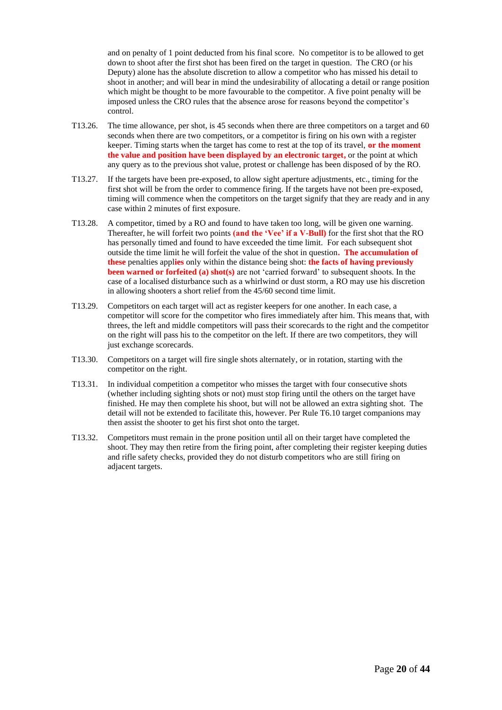and on penalty of 1 point deducted from his final score. No competitor is to be allowed to get down to shoot after the first shot has been fired on the target in question. The CRO (or his Deputy) alone has the absolute discretion to allow a competitor who has missed his detail to shoot in another; and will bear in mind the undesirability of allocating a detail or range position which might be thought to be more favourable to the competitor. A five point penalty will be imposed unless the CRO rules that the absence arose for reasons beyond the competitor's control.

- T13.26. The time allowance, per shot, is 45 seconds when there are three competitors on a target and 60 seconds when there are two competitors, or a competitor is firing on his own with a register keeper. Timing starts when the target has come to rest at the top of its travel, **or the moment the value and position have been displayed by an electronic target,** or the point at which any query as to the previous shot value, protest or challenge has been disposed of by the RO.
- T13.27. If the targets have been pre-exposed, to allow sight aperture adjustments, etc., timing for the first shot will be from the order to commence firing. If the targets have not been pre-exposed, timing will commence when the competitors on the target signify that they are ready and in any case within 2 minutes of first exposure.
- T13.28. A competitor, timed by a RO and found to have taken too long, will be given one warning. Thereafter, he will forfeit two points **(and the 'Vee' if a V-Bull)** for the first shot that the RO has personally timed and found to have exceeded the time limit. For each subsequent shot outside the time limit he will forfeit the value of the shot in question**. The accumulation of these** penalties appl**ies** only within the distance being shot: **the facts of having previously been warned or forfeited (a) shot(s)** are not 'carried forward' to subsequent shoots. In the case of a localised disturbance such as a whirlwind or dust storm, a RO may use his discretion in allowing shooters a short relief from the 45/60 second time limit.
- T13.29. Competitors on each target will act as register keepers for one another. In each case, a competitor will score for the competitor who fires immediately after him. This means that, with threes, the left and middle competitors will pass their scorecards to the right and the competitor on the right will pass his to the competitor on the left. If there are two competitors, they will just exchange scorecards.
- T13.30. Competitors on a target will fire single shots alternately, or in rotation, starting with the competitor on the right.
- T13.31. In individual competition a competitor who misses the target with four consecutive shots (whether including sighting shots or not) must stop firing until the others on the target have finished. He may then complete his shoot, but will not be allowed an extra sighting shot. The detail will not be extended to facilitate this, however. Per Rule T6.10 target companions may then assist the shooter to get his first shot onto the target.
- T13.32. Competitors must remain in the prone position until all on their target have completed the shoot. They may then retire from the firing point, after completing their register keeping duties and rifle safety checks, provided they do not disturb competitors who are still firing on adjacent targets.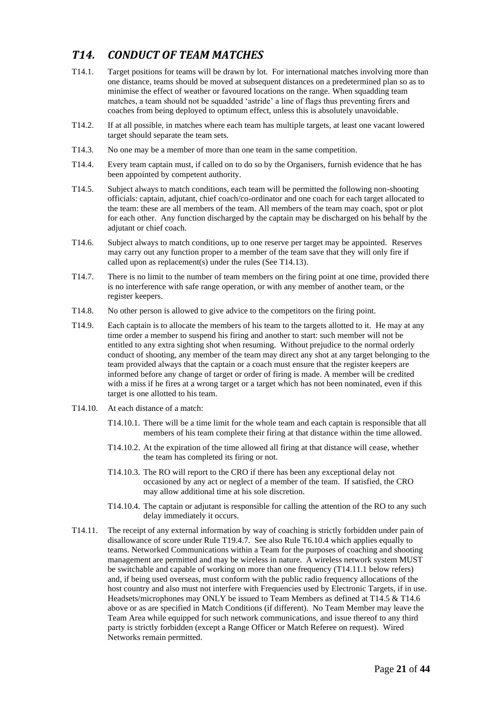## *T14. CONDUCT OF TEAM MATCHES*

- T14.1. Target positions for teams will be drawn by lot. For international matches involving more than one distance, teams should be moved at subsequent distances on a predetermined plan so as to minimise the effect of weather or favoured locations on the range. When squadding team matches, a team should not be squadded 'astride' a line of flags thus preventing firers and coaches from being deployed to optimum effect, unless this is absolutely unavoidable.
- T14.2. If at all possible, in matches where each team has multiple targets, at least one vacant lowered target should separate the team sets.
- T14.3. No one may be a member of more than one team in the same competition.
- T14.4. Every team captain must, if called on to do so by the Organisers, furnish evidence that he has been appointed by competent authority.
- T14.5. Subject always to match conditions, each team will be permitted the following non-shooting officials: captain, adjutant, chief coach/co-ordinator and one coach for each target allocated to the team: these are all members of the team. All members of the team may coach, spot or plot for each other. Any function discharged by the captain may be discharged on his behalf by the adjutant or chief coach.
- T14.6. Subject always to match conditions, up to one reserve per target may be appointed. Reserves may carry out any function proper to a member of the team save that they will only fire if called upon as replacement(s) under the rules (See T14.13).
- T14.7. There is no limit to the number of team members on the firing point at one time, provided there is no interference with safe range operation, or with any member of another team, or the register keepers.
- T14.8. No other person is allowed to give advice to the competitors on the firing point.
- T14.9. Each captain is to allocate the members of his team to the targets allotted to it. He may at any time order a member to suspend his firing and another to start: such member will not be entitled to any extra sighting shot when resuming. Without prejudice to the normal orderly conduct of shooting, any member of the team may direct any shot at any target belonging to the team provided always that the captain or a coach must ensure that the register keepers are informed before any change of target or order of firing is made. A member will be credited with a miss if he fires at a wrong target or a target which has not been nominated, even if this target is one allotted to his team.
- T14.10. At each distance of a match:
	- T14.10.1. There will be a time limit for the whole team and each captain is responsible that all members of his team complete their firing at that distance within the time allowed.
	- T14.10.2. At the expiration of the time allowed all firing at that distance will cease, whether the team has completed its firing or not.
	- T14.10.3. The RO will report to the CRO if there has been any exceptional delay not occasioned by any act or neglect of a member of the team. If satisfied, the CRO may allow additional time at his sole discretion.
	- T14.10.4. The captain or adjutant is responsible for calling the attention of the RO to any such delay immediately it occurs.
- T14.11. The receipt of any external information by way of coaching is strictly forbidden under pain of disallowance of score under Rule T19.4.7. See also Rule T6.10.4 which applies equally to teams. Networked Communications within a Team for the purposes of coaching and shooting management are permitted and may be wireless in nature. A wireless network system MUST be switchable and capable of working on more than one frequency (T14.11.1 below refers) and, if being used overseas, must conform with the public radio frequency allocations of the host country and also must not interfere with Frequencies used by Electronic Targets, if in use. Headsets/microphones may ONLY be issued to Team Members as defined at T14.5 & T14.6 above or as are specified in Match Conditions (if different). No Team Member may leave the Team Area while equipped for such network communications, and issue thereof to any third party is strictly forbidden (except a Range Officer or Match Referee on request). Wired Networks remain permitted.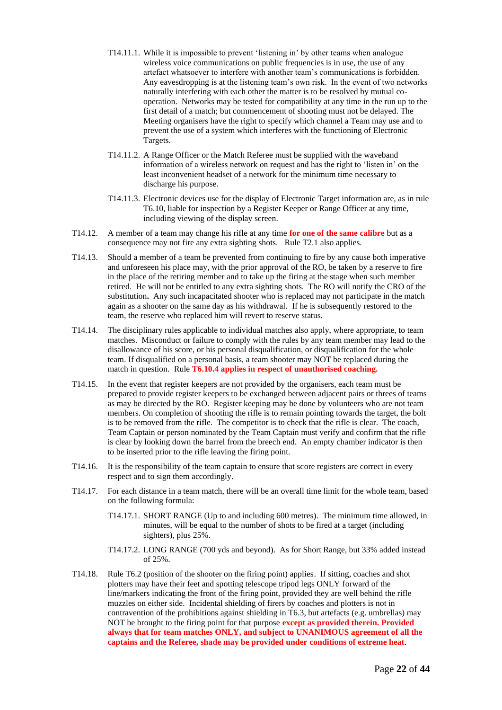- T14.11.1. While it is impossible to prevent 'listening in' by other teams when analogue wireless voice communications on public frequencies is in use, the use of any artefact whatsoever to interfere with another team's communications is forbidden. Any eavesdropping is at the listening team's own risk. In the event of two networks naturally interfering with each other the matter is to be resolved by mutual cooperation. Networks may be tested for compatibility at any time in the run up to the first detail of a match; but commencement of shooting must not be delayed. The Meeting organisers have the right to specify which channel a Team may use and to prevent the use of a system which interferes with the functioning of Electronic Targets.
- T14.11.2. A Range Officer or the Match Referee must be supplied with the waveband information of a wireless network on request and has the right to 'listen in' on the least inconvenient headset of a network for the minimum time necessary to discharge his purpose.
- T14.11.3. Electronic devices use for the display of Electronic Target information are, as in rule T6.10, liable for inspection by a Register Keeper or Range Officer at any time, including viewing of the display screen.
- T14.12. A member of a team may change his rifle at any time **for one of the same calibre** but as a consequence may not fire any extra sighting shots. Rule T2.1 also applies.
- T14.13. Should a member of a team be prevented from continuing to fire by any cause both imperative and unforeseen his place may, with the prior approval of the RO, be taken by a reserve to fire in the place of the retiring member and to take up the firing at the stage when such member retired. He will not be entitled to any extra sighting shots. The RO will notify the CRO of the substitution**.** Any such incapacitated shooter who is replaced may not participate in the match again as a shooter on the same day as his withdrawal. If he is subsequently restored to the team, the reserve who replaced him will revert to reserve status.
- T14.14. The disciplinary rules applicable to individual matches also apply, where appropriate, to team matches. Misconduct or failure to comply with the rules by any team member may lead to the disallowance of his score, or his personal disqualification, or disqualification for the whole team. If disqualified on a personal basis, a team shooter may NOT be replaced during the match in question. Rule **T6.10.4 applies in respect of unauthorised coaching.**
- T14.15. In the event that register keepers are not provided by the organisers, each team must be prepared to provide register keepers to be exchanged between adjacent pairs or threes of teams as may be directed by the RO. Register keeping may be done by volunteers who are not team members. On completion of shooting the rifle is to remain pointing towards the target, the bolt is to be removed from the rifle. The competitor is to check that the rifle is clear. The coach, Team Captain or person nominated by the Team Captain must verify and confirm that the rifle is clear by looking down the barrel from the breech end. An empty chamber indicator is then to be inserted prior to the rifle leaving the firing point.
- T14.16. It is the responsibility of the team captain to ensure that score registers are correct in every respect and to sign them accordingly.
- T14.17. For each distance in a team match, there will be an overall time limit for the whole team, based on the following formula:
	- T14.17.1. SHORT RANGE (Up to and including 600 metres). The minimum time allowed, in minutes, will be equal to the number of shots to be fired at a target (including sighters), plus 25%.
	- T14.17.2. LONG RANGE (700 yds and beyond). As for Short Range, but 33% added instead of 25%.
- T14.18. Rule T6.2 (position of the shooter on the firing point) applies. If sitting, coaches and shot plotters may have their feet and spotting telescope tripod legs ONLY forward of the line/markers indicating the front of the firing point, provided they are well behind the rifle muzzles on either side. Incidental shielding of firers by coaches and plotters is not in contravention of the prohibitions against shielding in T6.3, but artefacts (e.g. umbrellas) may NOT be brought to the firing point for that purpose **except as provided therein. Provided always that for team matches ONLY, and subject to UNANIMOUS agreement of all the captains and the Referee, shade may be provided under conditions of extreme heat**.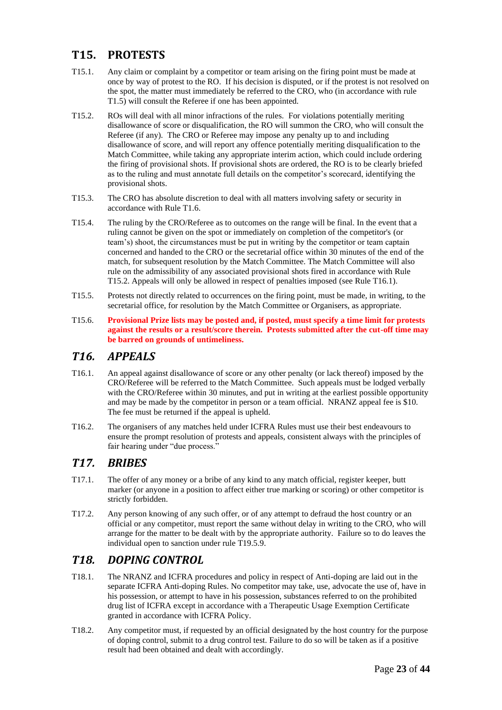## **T15. PROTESTS**

- T15.1. Any claim or complaint by a competitor or team arising on the firing point must be made at once by way of protest to the RO. If his decision is disputed, or if the protest is not resolved on the spot, the matter must immediately be referred to the CRO, who (in accordance with rule T1.5) will consult the Referee if one has been appointed.
- T15.2. ROs will deal with all minor infractions of the rules. For violations potentially meriting disallowance of score or disqualification, the RO will summon the CRO, who will consult the Referee (if any). The CRO or Referee may impose any penalty up to and including disallowance of score, and will report any offence potentially meriting disqualification to the Match Committee, while taking any appropriate interim action, which could include ordering the firing of provisional shots. If provisional shots are ordered, the RO is to be clearly briefed as to the ruling and must annotate full details on the competitor's scorecard, identifying the provisional shots.
- T15.3. The CRO has absolute discretion to deal with all matters involving safety or security in accordance with Rule T1.6.
- T15.4. The ruling by the CRO/Referee as to outcomes on the range will be final. In the event that a ruling cannot be given on the spot or immediately on completion of the competitor's (or team's) shoot, the circumstances must be put in writing by the competitor or team captain concerned and handed to the CRO or the secretarial office within 30 minutes of the end of the match, for subsequent resolution by the Match Committee. The Match Committee will also rule on the admissibility of any associated provisional shots fired in accordance with Rule T15.2. Appeals will only be allowed in respect of penalties imposed (see Rule T16.1).
- T15.5. Protests not directly related to occurrences on the firing point, must be made, in writing, to the secretarial office, for resolution by the Match Committee or Organisers, as appropriate.
- T15.6. **Provisional Prize lists may be posted and, if posted, must specify a time limit for protests against the results or a result/score therein. Protests submitted after the cut-off time may be barred on grounds of untimeliness.**

### *T16. APPEALS*

- T16.1. An appeal against disallowance of score or any other penalty (or lack thereof) imposed by the CRO/Referee will be referred to the Match Committee. Such appeals must be lodged verbally with the CRO/Referee within 30 minutes, and put in writing at the earliest possible opportunity and may be made by the competitor in person or a team official. NRANZ appeal fee is \$10. The fee must be returned if the appeal is upheld.
- T16.2. The organisers of any matches held under ICFRA Rules must use their best endeavours to ensure the prompt resolution of protests and appeals, consistent always with the principles of fair hearing under "due process."

### *T17. BRIBES*

- T17.1. The offer of any money or a bribe of any kind to any match official, register keeper, butt marker (or anyone in a position to affect either true marking or scoring) or other competitor is strictly forbidden.
- T17.2. Any person knowing of any such offer, or of any attempt to defraud the host country or an official or any competitor, must report the same without delay in writing to the CRO, who will arrange for the matter to be dealt with by the appropriate authority. Failure so to do leaves the individual open to sanction under rule T19.5.9.

## *T18. DOPING CONTROL*

- T18.1. The NRANZ and ICFRA procedures and policy in respect of Anti-doping are laid out in the separate ICFRA Anti-doping Rules. No competitor may take, use, advocate the use of, have in his possession, or attempt to have in his possession, substances referred to on the prohibited drug list of ICFRA except in accordance with a Therapeutic Usage Exemption Certificate granted in accordance with ICFRA Policy.
- T18.2. Any competitor must, if requested by an official designated by the host country for the purpose of doping control, submit to a drug control test. Failure to do so will be taken as if a positive result had been obtained and dealt with accordingly.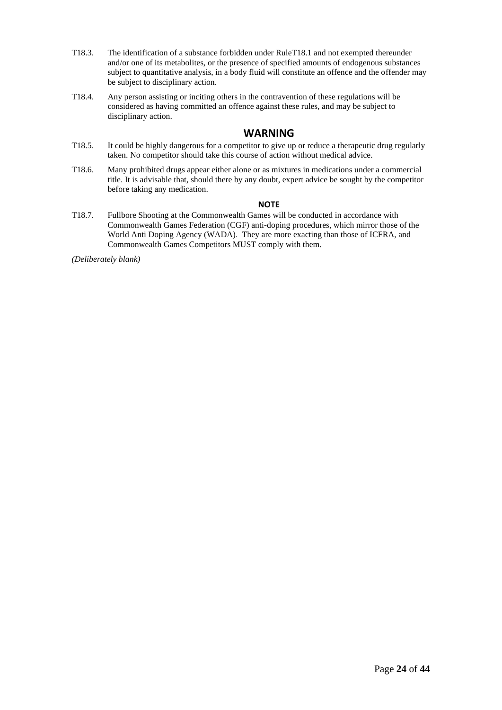- T18.3. The identification of a substance forbidden under RuleT18.1 and not exempted thereunder and/or one of its metabolites, or the presence of specified amounts of endogenous substances subject to quantitative analysis, in a body fluid will constitute an offence and the offender may be subject to disciplinary action.
- T18.4. Any person assisting or inciting others in the contravention of these regulations will be considered as having committed an offence against these rules, and may be subject to disciplinary action.

### **WARNING**

- T18.5. It could be highly dangerous for a competitor to give up or reduce a therapeutic drug regularly taken. No competitor should take this course of action without medical advice.
- T18.6. Many prohibited drugs appear either alone or as mixtures in medications under a commercial title. It is advisable that, should there by any doubt, expert advice be sought by the competitor before taking any medication.

#### **NOTE**

T18.7. Fullbore Shooting at the Commonwealth Games will be conducted in accordance with Commonwealth Games Federation (CGF) anti-doping procedures, which mirror those of the World Anti Doping Agency (WADA). They are more exacting than those of ICFRA, and Commonwealth Games Competitors MUST comply with them.

*(Deliberately blank)*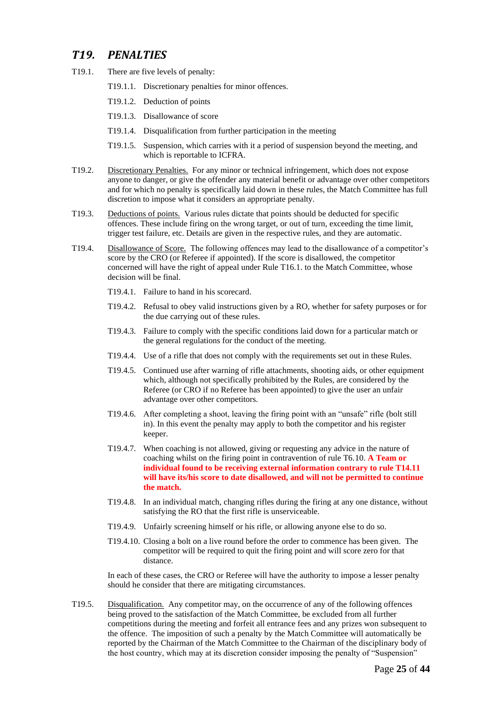### *T19. PENALTIES*

- T19.1. There are five levels of penalty:
	- T19.1.1. Discretionary penalties for minor offences.
	- T19.1.2. Deduction of points
	- T19.1.3. Disallowance of score
	- T19.1.4. Disqualification from further participation in the meeting
	- T19.1.5. Suspension, which carries with it a period of suspension beyond the meeting, and which is reportable to ICFRA.
- T19.2. Discretionary Penalties. For any minor or technical infringement, which does not expose anyone to danger, or give the offender any material benefit or advantage over other competitors and for which no penalty is specifically laid down in these rules, the Match Committee has full discretion to impose what it considers an appropriate penalty.
- T19.3. Deductions of points. Various rules dictate that points should be deducted for specific offences. These include firing on the wrong target, or out of turn, exceeding the time limit, trigger test failure, etc. Details are given in the respective rules, and they are automatic.
- T19.4. Disallowance of Score. The following offences may lead to the disallowance of a competitor's score by the CRO (or Referee if appointed). If the score is disallowed, the competitor concerned will have the right of appeal under Rule T16.1. to the Match Committee, whose decision will be final.
	- T19.4.1. Failure to hand in his scorecard.
	- T19.4.2. Refusal to obey valid instructions given by a RO, whether for safety purposes or for the due carrying out of these rules.
	- T19.4.3. Failure to comply with the specific conditions laid down for a particular match or the general regulations for the conduct of the meeting.
	- T19.4.4. Use of a rifle that does not comply with the requirements set out in these Rules.
	- T19.4.5. Continued use after warning of rifle attachments, shooting aids, or other equipment which, although not specifically prohibited by the Rules, are considered by the Referee (or CRO if no Referee has been appointed) to give the user an unfair advantage over other competitors.
	- T19.4.6. After completing a shoot, leaving the firing point with an "unsafe" rifle (bolt still in). In this event the penalty may apply to both the competitor and his register keeper.
	- T19.4.7. When coaching is not allowed, giving or requesting any advice in the nature of coaching whilst on the firing point in contravention of rule T6.10. **A Team or individual found to be receiving external information contrary to rule T14.11 will have its/his score to date disallowed, and will not be permitted to continue the match.**
	- T19.4.8. In an individual match, changing rifles during the firing at any one distance, without satisfying the RO that the first rifle is unserviceable.
	- T19.4.9. Unfairly screening himself or his rifle, or allowing anyone else to do so.
	- T19.4.10. Closing a bolt on a live round before the order to commence has been given. The competitor will be required to quit the firing point and will score zero for that distance.

In each of these cases, the CRO or Referee will have the authority to impose a lesser penalty should he consider that there are mitigating circumstances.

T19.5. Disqualification. Any competitor may, on the occurrence of any of the following offences being proved to the satisfaction of the Match Committee, be excluded from all further competitions during the meeting and forfeit all entrance fees and any prizes won subsequent to the offence. The imposition of such a penalty by the Match Committee will automatically be reported by the Chairman of the Match Committee to the Chairman of the disciplinary body of the host country, which may at its discretion consider imposing the penalty of "Suspension"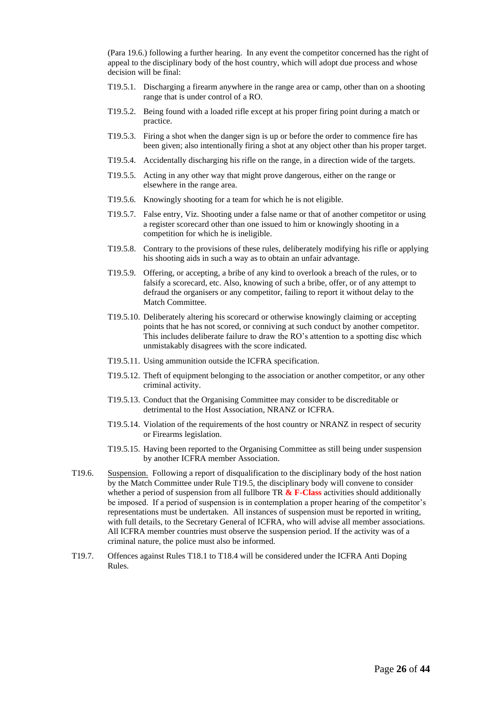(Para 19.6.) following a further hearing. In any event the competitor concerned has the right of appeal to the disciplinary body of the host country, which will adopt due process and whose decision will be final:

- T19.5.1. Discharging a firearm anywhere in the range area or camp, other than on a shooting range that is under control of a RO.
- T19.5.2. Being found with a loaded rifle except at his proper firing point during a match or practice.
- T19.5.3. Firing a shot when the danger sign is up or before the order to commence fire has been given; also intentionally firing a shot at any object other than his proper target.
- T19.5.4. Accidentally discharging his rifle on the range, in a direction wide of the targets.
- T19.5.5. Acting in any other way that might prove dangerous, either on the range or elsewhere in the range area.
- T19.5.6. Knowingly shooting for a team for which he is not eligible.
- T19.5.7. False entry, Viz. Shooting under a false name or that of another competitor or using a register scorecard other than one issued to him or knowingly shooting in a competition for which he is ineligible.
- T19.5.8. Contrary to the provisions of these rules, deliberately modifying his rifle or applying his shooting aids in such a way as to obtain an unfair advantage.
- T19.5.9. Offering, or accepting, a bribe of any kind to overlook a breach of the rules, or to falsify a scorecard, etc. Also, knowing of such a bribe, offer, or of any attempt to defraud the organisers or any competitor, failing to report it without delay to the Match Committee.
- T19.5.10. Deliberately altering his scorecard or otherwise knowingly claiming or accepting points that he has not scored, or conniving at such conduct by another competitor. This includes deliberate failure to draw the RO's attention to a spotting disc which unmistakably disagrees with the score indicated.
- T19.5.11. Using ammunition outside the ICFRA specification.
- T19.5.12. Theft of equipment belonging to the association or another competitor, or any other criminal activity.
- T19.5.13. Conduct that the Organising Committee may consider to be discreditable or detrimental to the Host Association, NRANZ or ICFRA.
- T19.5.14. Violation of the requirements of the host country or NRANZ in respect of security or Firearms legislation.
- T19.5.15. Having been reported to the Organising Committee as still being under suspension by another ICFRA member Association.
- T19.6. Suspension. Following a report of disqualification to the disciplinary body of the host nation by the Match Committee under Rule T19.5, the disciplinary body will convene to consider whether a period of suspension from all fullbore TR  $&$  F-Class activities should additionally be imposed. If a period of suspension is in contemplation a proper hearing of the competitor's representations must be undertaken. All instances of suspension must be reported in writing, with full details, to the Secretary General of ICFRA, who will advise all member associations. All ICFRA member countries must observe the suspension period. If the activity was of a criminal nature, the police must also be informed.
- T19.7. Offences against Rules T18.1 to T18.4 will be considered under the ICFRA Anti Doping Rules.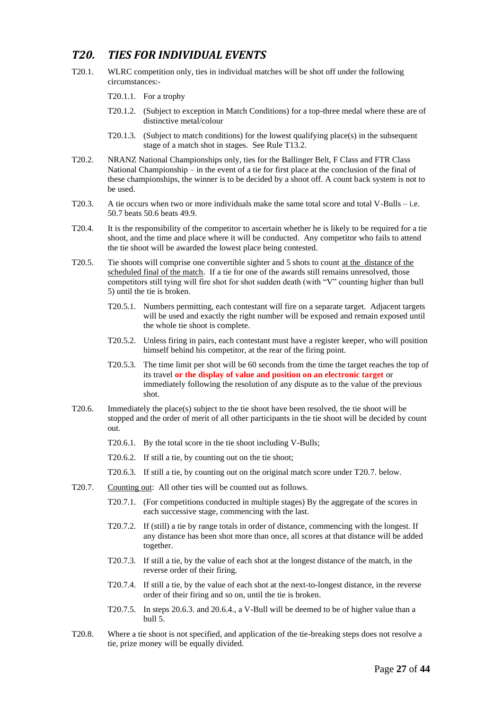## *T20. TIES FOR INDIVIDUAL EVENTS*

- T20.1. WLRC competition only, ties in individual matches will be shot off under the following circumstances:-
	- T20.1.1. For a trophy
	- T20.1.2. (Subject to exception in Match Conditions) for a top-three medal where these are of distinctive metal/colour
	- T20.1.3. (Subject to match conditions) for the lowest qualifying place(s) in the subsequent stage of a match shot in stages. See Rule T13.2.
- T20.2. NRANZ National Championships only, ties for the Ballinger Belt, F Class and FTR Class National Championship – in the event of a tie for first place at the conclusion of the final of these championships, the winner is to be decided by a shoot off. A count back system is not to be used.
- T20.3. A tie occurs when two or more individuals make the same total score and total V-Bulls i.e. 50.7 beats 50.6 beats 49.9.
- T20.4. It is the responsibility of the competitor to ascertain whether he is likely to be required for a tie shoot, and the time and place where it will be conducted. Any competitor who fails to attend the tie shoot will be awarded the lowest place being contested.
- T20.5. Tie shoots will comprise one convertible sighter and 5 shots to count at the distance of the scheduled final of the match. If a tie for one of the awards still remains unresolved, those competitors still tying will fire shot for shot sudden death (with "V" counting higher than bull 5) until the tie is broken.
	- T20.5.1. Numbers permitting, each contestant will fire on a separate target. Adjacent targets will be used and exactly the right number will be exposed and remain exposed until the whole tie shoot is complete.
	- T20.5.2. Unless firing in pairs, each contestant must have a register keeper, who will position himself behind his competitor, at the rear of the firing point.
	- T20.5.3. The time limit per shot will be 60 seconds from the time the target reaches the top of its travel **or the display of value and position on an electronic target** or immediately following the resolution of any dispute as to the value of the previous shot.
- T20.6. Immediately the place(s) subject to the tie shoot have been resolved, the tie shoot will be stopped and the order of merit of all other participants in the tie shoot will be decided by count out.
	- T20.6.1. By the total score in the tie shoot including V-Bulls;
	- T20.6.2. If still a tie, by counting out on the tie shoot;
	- T20.6.3. If still a tie, by counting out on the original match score under T20.7. below.
- T20.7. Counting out: All other ties will be counted out as follows.
	- T20.7.1. (For competitions conducted in multiple stages) By the aggregate of the scores in each successive stage, commencing with the last.
	- T20.7.2. If (still) a tie by range totals in order of distance, commencing with the longest. If any distance has been shot more than once, all scores at that distance will be added together.
	- T20.7.3. If still a tie, by the value of each shot at the longest distance of the match, in the reverse order of their firing.
	- T20.7.4. If still a tie, by the value of each shot at the next-to-longest distance, in the reverse order of their firing and so on, until the tie is broken.
	- T20.7.5. In steps 20.6.3. and 20.6.4., a V-Bull will be deemed to be of higher value than a bull 5.
- T20.8. Where a tie shoot is not specified, and application of the tie-breaking steps does not resolve a tie, prize money will be equally divided.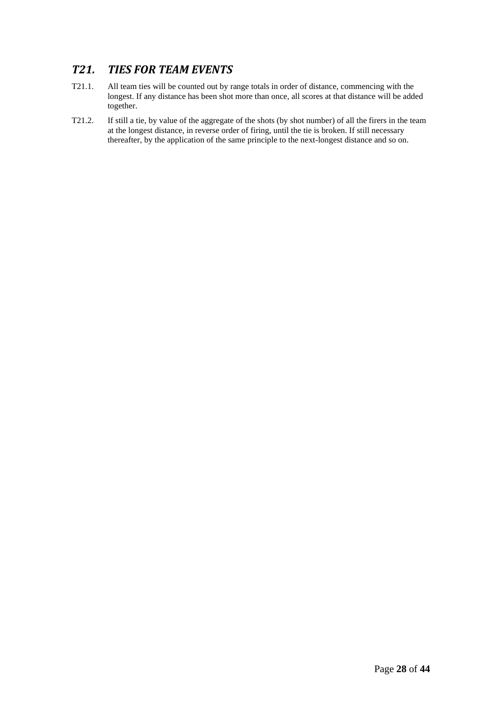## *T21. TIES FOR TEAM EVENTS*

- T21.1. All team ties will be counted out by range totals in order of distance, commencing with the longest. If any distance has been shot more than once, all scores at that distance will be added together.
- T21.2. If still a tie, by value of the aggregate of the shots (by shot number) of all the firers in the team at the longest distance, in reverse order of firing, until the tie is broken. If still necessary thereafter, by the application of the same principle to the next-longest distance and so on.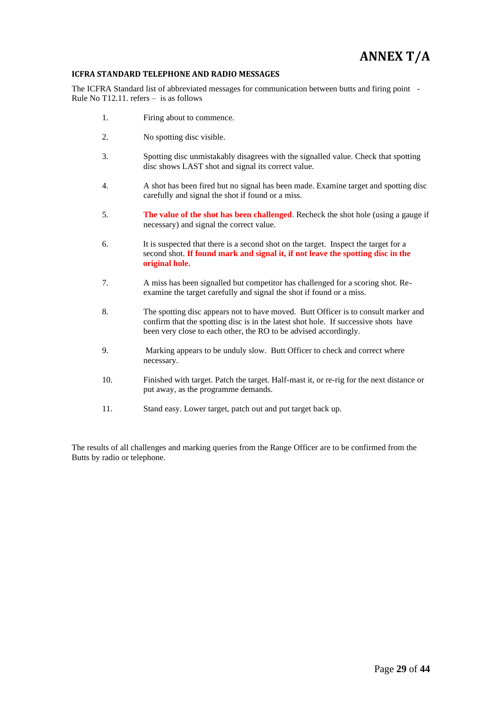## **ANNEX T/A**

#### **ICFRA STANDARD TELEPHONE AND RADIO MESSAGES**

The ICFRA Standard list of abbreviated messages for communication between butts and firing point - Rule No T12.11. refers – is as follows

- 1. Firing about to commence.
- 2. No spotting disc visible.
- 3. Spotting disc unmistakably disagrees with the signalled value. Check that spotting disc shows LAST shot and signal its correct value.
- 4. A shot has been fired but no signal has been made. Examine target and spotting disc carefully and signal the shot if found or a miss.
- 5. **The value of the shot has been challenged.** Recheck the shot hole (using a gauge if necessary) and signal the correct value.
- 6. It is suspected that there is a second shot on the target. Inspect the target for a second shot. **If found mark and signal it, if not leave the spotting disc in the original hole.**
- 7. A miss has been signalled but competitor has challenged for a scoring shot. Reexamine the target carefully and signal the shot if found or a miss.
- 8. The spotting disc appears not to have moved. Butt Officer is to consult marker and confirm that the spotting disc is in the latest shot hole. If successive shots have been very close to each other, the RO to be advised accordingly.
- 9. Marking appears to be unduly slow. Butt Officer to check and correct where necessary.
- 10. Finished with target. Patch the target. Half-mast it, or re-rig for the next distance or put away, as the programme demands.
- 11. Stand easy. Lower target, patch out and put target back up.

The results of all challenges and marking queries from the Range Officer are to be confirmed from the Butts by radio or telephone.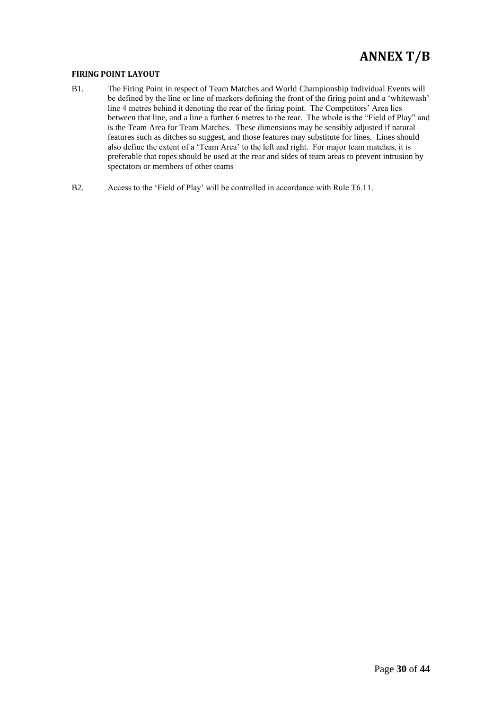## **ANNEX T/B**

#### **FIRING POINT LAYOUT**

- B1. The Firing Point in respect of Team Matches and World Championship Individual Events will be defined by the line or line of markers defining the front of the firing point and a 'whitewash' line 4 metres behind it denoting the rear of the firing point. The Competitors' Area lies between that line, and a line a further 6 metres to the rear. The whole is the "Field of Play" and is the Team Area for Team Matches. These dimensions may be sensibly adjusted if natural features such as ditches so suggest, and those features may substitute for lines. Lines should also define the extent of a 'Team Area' to the left and right. For major team matches, it is preferable that ropes should be used at the rear and sides of team areas to prevent intrusion by spectators or members of other teams
- B2. Access to the 'Field of Play' will be controlled in accordance with Rule T6.11.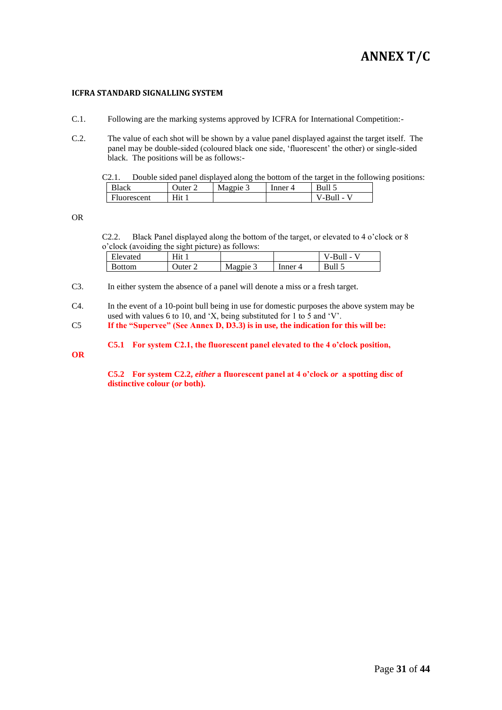## **ANNEX T/C**

#### **ICFRA STANDARD SIGNALLING SYSTEM**

- C.1. Following are the marking systems approved by ICFRA for International Competition:-
- C.2. The value of each shot will be shown by a value panel displayed against the target itself. The panel may be double-sided (coloured black one side, 'fluorescent' the other) or single-sided black. The positions will be as follows:-

C2.1. Double sided panel displayed along the bottom of the target in the following positions:

| <b>Black</b>       | Juter | Magpie $\geq$ | inner<br>$\overline{\phantom{a}}$ |                    |
|--------------------|-------|---------------|-----------------------------------|--------------------|
| <b>Fluorescent</b> | Нit   |               |                                   | Bull<br><b>COL</b> |
|                    |       |               |                                   |                    |

OR

C2.2. Black Panel displayed along the bottom of the target, or elevated to 4 o'clock or 8 o'clock (avoiding the sight picture) as follows:

| <b>11</b><br><b>Elevated</b> | Hıt   |          |       | -Bull - |
|------------------------------|-------|----------|-------|---------|
| Bottom                       | Juter | Magpie 3 | Inner | Bull 5  |

C3. In either system the absence of a panel will denote a miss or a fresh target.

C4. In the event of a 10-point bull being in use for domestic purposes the above system may be used with values 6 to 10, and 'X, being substituted for 1 to 5 and 'V'.

C5 **If the "Supervee" (See Annex D, D3.3) is in use, the indication for this will be:**

**C5.1 For system C2.1, the fluorescent panel elevated to the 4 o'clock position,** 

**OR**

**C5.2 For system C2.2,** *either* **a fluorescent panel at 4 o'clock** *or* **a spotting disc of distinctive colour (***or* **both).**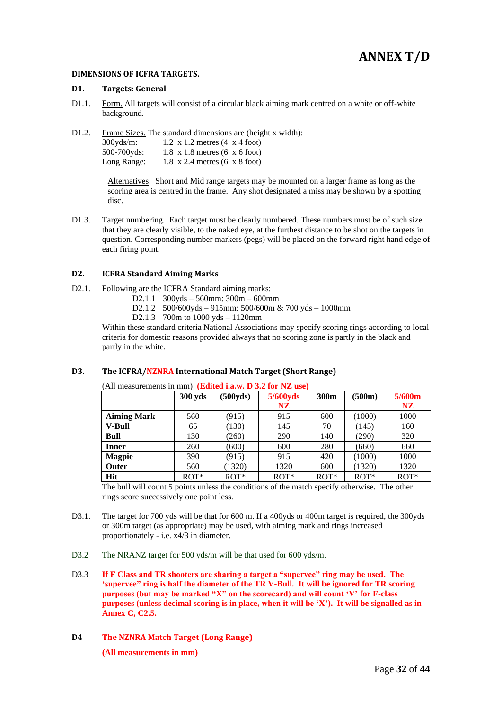## **ANNEX T/D**

#### **DIMENSIONS OF ICFRA TARGETS.**

#### **D1. Targets: General**

D1.1. Form. All targets will consist of a circular black aiming mark centred on a white or off-white background.

D1.2. Frame Sizes. The standard dimensions are (height x width): 300yds/m: 1.2 x 1.2 metres (4 x 4 foot) 500-700yds: 1.8 x 1.8 metres (6 x 6 foot) Long Range:  $1.8 \times 2.4$  metres (6  $\times 8$  foot)

> Alternatives: Short and Mid range targets may be mounted on a larger frame as long as the scoring area is centred in the frame. Any shot designated a miss may be shown by a spotting disc.

D1.3. Target numbering. Each target must be clearly numbered. These numbers must be of such size that they are clearly visible, to the naked eye, at the furthest distance to be shot on the targets in question. Corresponding number markers (pegs) will be placed on the forward right hand edge of each firing point.

#### **D2. ICFRA Standard Aiming Marks**

- D2.1. Following are the ICFRA Standard aiming marks:
	- D2.1.1 300yds 560mm: 300m 600mm
	- D2.1.2 500/600yds 915mm: 500/600m & 700 yds 1000mm
	- D2.1.3 700m to 1000 yds 1120mm

Within these standard criteria National Associations may specify scoring rings according to local criteria for domestic reasons provided always that no scoring zone is partly in the black and partly in the white.

#### **D3. The ICFRA/NZNRA International Match Target (Short Range)**

|                    | 300 yds | (500yds) | 5/600yds | 300 <sub>m</sub> | (500m) | 5/600m |
|--------------------|---------|----------|----------|------------------|--------|--------|
|                    |         |          | NZ.      |                  |        | NZ.    |
| <b>Aiming Mark</b> | 560     | (915)    | 915      | 600              | (1000) | 1000   |
| <b>V-Bull</b>      | 65      | (130)    | 145      | 70               | (145)  | 160    |
| <b>Bull</b>        | 130     | (260)    | 290      | 140              | (290)  | 320    |
| <b>Inner</b>       | 260     | (600)    | 600      | 280              | (660)  | 660    |
| <b>Magpie</b>      | 390     | (915)    | 915      | 420              | (1000) | 1000   |
| Outer              | 560     | (1320)   | 1320     | 600              | (1320) | 1320   |
| Hit                | $ROT*$  | $ROT*$   | $ROT*$   | $ROT*$           | $ROT*$ | $ROT*$ |

(All measurements in mm) **(Edited i.a.w. D 3.2 for NZ use)**

The bull will count 5 points unless the conditions of the match specify otherwise. The other rings score successively one point less.

- D3.1. The target for 700 yds will be that for 600 m. If a 400yds or 400m target is required, the 300yds or 300m target (as appropriate) may be used, with aiming mark and rings increased proportionately - i.e. x4/3 in diameter.
- D3.2 The NRANZ target for 500 yds/m will be that used for 600 yds/m.
- D3.3 **If F Class and TR shooters are sharing a target a "supervee" ring may be used. The 'supervee" ring is half the diameter of the TR V-Bull. It will be ignored for TR scoring purposes (but may be marked "X" on the scorecard) and will count 'V' for F-class purposes (unless decimal scoring is in place, when it will be 'X'). It will be signalled as in Annex C, C2.5.**
- **D4 The NZNRA Match Target (Long Range)**

**(All measurements in mm)**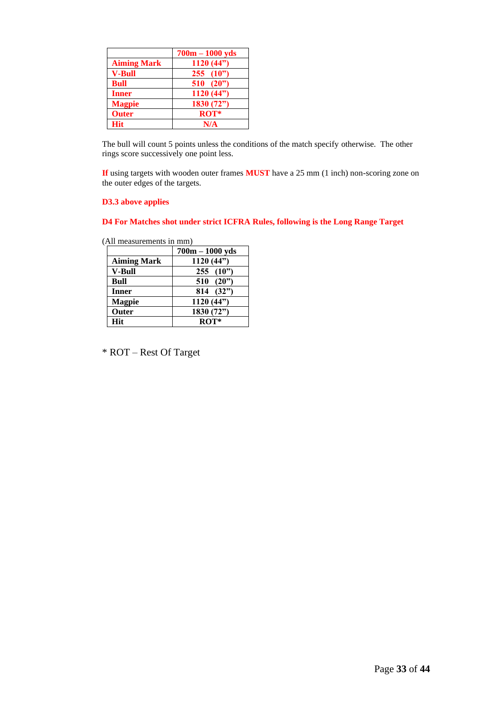|                    | $700m - 1000$ yds   |
|--------------------|---------------------|
| <b>Aiming Mark</b> | 1120(44")           |
| <b>V-Bull</b>      | $255 \t(10"$        |
| <b>Bull</b>        | <b>510</b><br>(20") |
| <b>Inner</b>       | 1120 $(44)$         |
| <b>Magpie</b>      | 1830 (72")          |
| <b>Outer</b>       | ROT*                |
| Hit                | N/A                 |

The bull will count 5 points unless the conditions of the match specify otherwise. The other rings score successively one point less.

**If** using targets with wooden outer frames **MUST** have a 25 mm (1 inch) non-scoring zone on the outer edges of the targets.

### **D3.3 above applies**

### **D4 For Matches shot under strict ICFRA Rules, following is the Long Range Target**

(All measurements in mm)

|                    | $700m - 1000yds$ |
|--------------------|------------------|
| <b>Aiming Mark</b> | 1120(44")        |
| <b>V-Bull</b>      | 255(10")         |
| Bull               | 510(20")         |
| <b>Inner</b>       | 814 (32")        |
| <b>Magpie</b>      | 1120(44")        |
| Outer              | 1830 (72")       |
| <b>Hit</b>         | $ROT*$           |

\* ROT – Rest Of Target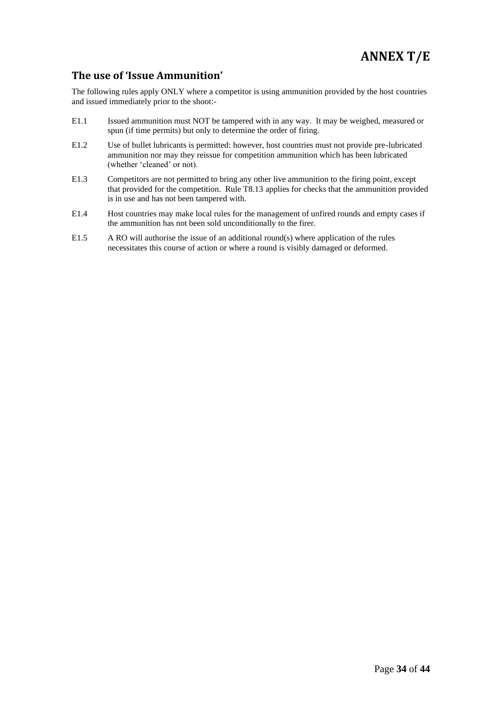### **The use of 'Issue Ammunition'**

The following rules apply ONLY where a competitor is using ammunition provided by the host countries and issued immediately prior to the shoot:-

- E1.1 Issued ammunition must NOT be tampered with in any way. It may be weighed, measured or spun (if time permits) but only to determine the order of firing.
- E1.2 Use of bullet lubricants is permitted: however, host countries must not provide pre-lubricated ammunition nor may they reissue for competition ammunition which has been lubricated (whether 'cleaned' or not).
- E1.3 Competitors are not permitted to bring any other live ammunition to the firing point, except that provided for the competition. Rule T8.13 applies for checks that the ammunition provided is in use and has not been tampered with.
- E1.4 Host countries may make local rules for the management of unfired rounds and empty cases if the ammunition has not been sold unconditionally to the firer.
- E1.5 A RO will authorise the issue of an additional round(s) where application of the rules necessitates this course of action or where a round is visibly damaged or deformed.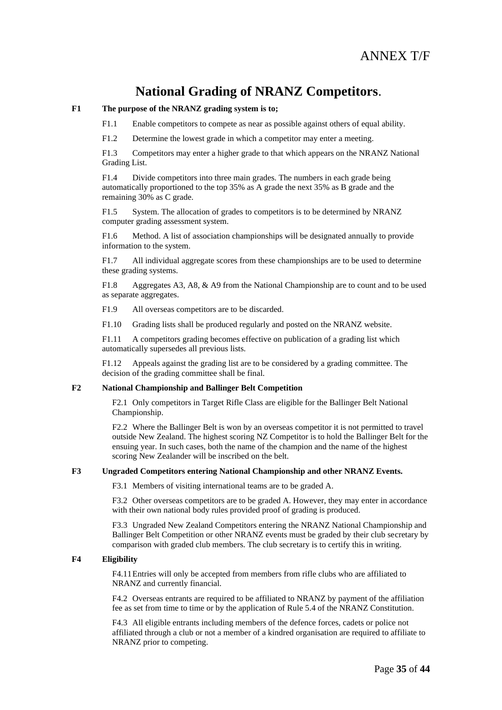## **National Grading of NRANZ Competitors**.

#### **F1 The purpose of the NRANZ grading system is to;**

F1.1 Enable competitors to compete as near as possible against others of equal ability.

F1.2 Determine the lowest grade in which a competitor may enter a meeting.

F1.3 Competitors may enter a higher grade to that which appears on the NRANZ National Grading List.

F1.4 Divide competitors into three main grades. The numbers in each grade being automatically proportioned to the top 35% as A grade the next 35% as B grade and the remaining 30% as C grade.

F1.5 System. The allocation of grades to competitors is to be determined by NRANZ computer grading assessment system.

F1.6 Method. A list of association championships will be designated annually to provide information to the system.

F1.7 All individual aggregate scores from these championships are to be used to determine these grading systems.

F1.8 Aggregates A3, A8, & A9 from the National Championship are to count and to be used as separate aggregates.

F1.9 All overseas competitors are to be discarded.

F1.10 Grading lists shall be produced regularly and posted on the NRANZ website.

F1.11 A competitors grading becomes effective on publication of a grading list which automatically supersedes all previous lists.

F1.12 Appeals against the grading list are to be considered by a grading committee. The decision of the grading committee shall be final.

#### **F2 National Championship and Ballinger Belt Competition**

F2.1 Only competitors in Target Rifle Class are eligible for the Ballinger Belt National Championship.

F2.2 Where the Ballinger Belt is won by an overseas competitor it is not permitted to travel outside New Zealand. The highest scoring NZ Competitor is to hold the Ballinger Belt for the ensuing year. In such cases, both the name of the champion and the name of the highest scoring New Zealander will be inscribed on the belt.

#### **F3 Ungraded Competitors entering National Championship and other NRANZ Events.**

F3.1 Members of visiting international teams are to be graded A.

F3.2 Other overseas competitors are to be graded A. However, they may enter in accordance with their own national body rules provided proof of grading is produced.

F3.3 Ungraded New Zealand Competitors entering the NRANZ National Championship and Ballinger Belt Competition or other NRANZ events must be graded by their club secretary by comparison with graded club members. The club secretary is to certify this in writing.

#### **F4 Eligibility**

F4.11Entries will only be accepted from members from rifle clubs who are affiliated to NRANZ and currently financial.

F4.2 Overseas entrants are required to be affiliated to NRANZ by payment of the affiliation fee as set from time to time or by the application of Rule 5.4 of the NRANZ Constitution.

F4.3 All eligible entrants including members of the defence forces, cadets or police not affiliated through a club or not a member of a kindred organisation are required to affiliate to NRANZ prior to competing.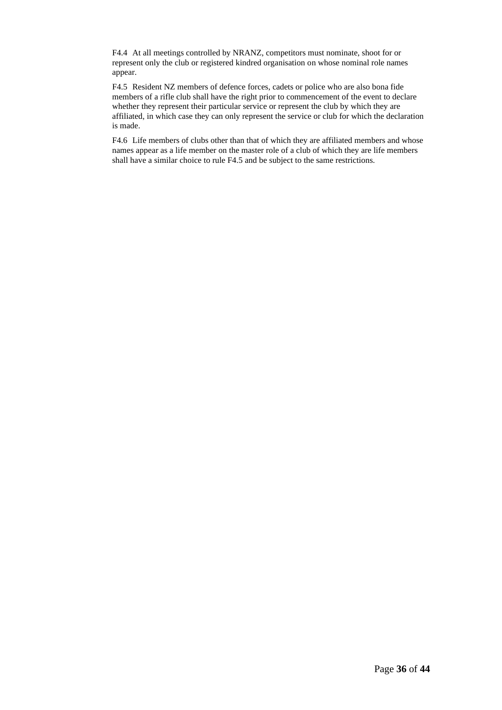F4.4 At all meetings controlled by NRANZ, competitors must nominate, shoot for or represent only the club or registered kindred organisation on whose nominal role names appear.

F4.5 Resident NZ members of defence forces, cadets or police who are also bona fide members of a rifle club shall have the right prior to commencement of the event to declare whether they represent their particular service or represent the club by which they are affiliated, in which case they can only represent the service or club for which the declaration is made.

F4.6 Life members of clubs other than that of which they are affiliated members and whose names appear as a life member on the master role of a club of which they are life members shall have a similar choice to rule F4.5 and be subject to the same restrictions.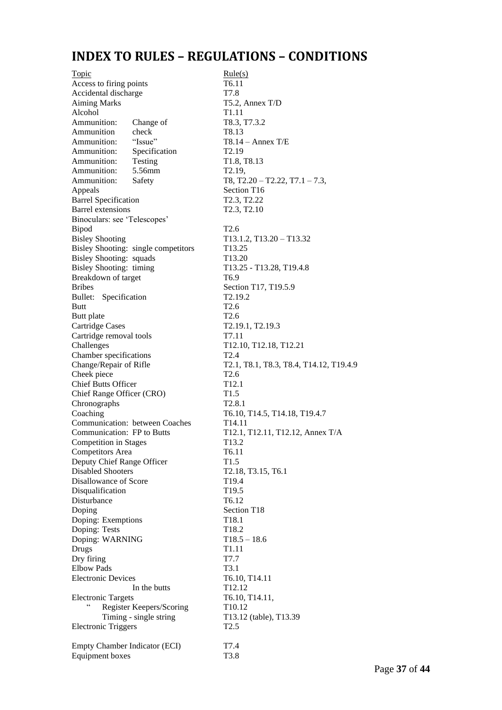## **INDEX TO RULES – REGULATIONS – CONDITIONS**

Topic Rule(s) Access to firing points T6.11 Accidental discharge T7.8 Aiming Marks T5.2, Annex T/D Alcohol T1.11 Ammunition: Change of T8.3, T7.3.2 Ammunition check T8.13<br>Ammunition: "Issue" T8.14 Ammunition: "Issue" T8.14 – Annex T/E Ammunition: Specification T2.19 Ammunition: Testing T1.8, T8.13 Ammunition: 5.56mm T2.19, Ammunition: Safety T8, T2.20 – T2.22, T7.1 – 7.3, Appeals Section T16 Barrel Specification T2.3, T2.22 Barrel extensions T2.3, T2.10 Binoculars: see 'Telescopes' Bipod T2.6 Bisley Shooting T13.1.2, T13.20 – T13.32 Bisley Shooting: single competitors T13.25 Bisley Shooting: squads T13.20 Bisley Shooting: timing T13.25 - T13.28, T19.4.8 Breakdown of target T6.9 Bribes Section T17, T19.5.9 Bullet: Specification T2.19.2 Butt T2.6 Butt plate T2.6 Cartridge Cases T2.19.1, T2.19.3 Cartridge removal tools T7.11 Challenges T12.10, T12.18, T12.21 Chamber specifications T2.4 Change/Repair of Rifle T2.1, T8.1, T8.3, T8.4, T14.12, T19.4.9 Cheek piece T2.6 Chief Butts Officer T12.1 Chief Range Officer (CRO) T1.5 Chronographs T2.8.1 Coaching T6.10, T14.5, T14.18, T19.4.7 Communication: between Coaches T14.11 Communication: FP to Butts T12.1, T12.11, T12.12, Annex T/A Competition in Stages T13.2 Competitors Area T6.11 Deputy Chief Range Officer T1.5 Disabled Shooters T2.18, T3.15, T6.1 Disallowance of Score T19.4 Disqualification T19.5 Disturbance T6.12 Doping Section T18 Doping: Exemptions T18.1 Doping: Tests T18.2 Doping: WARNING T18.5 – 18.6 Drugs T1.11 Dry firing T7.7 Elbow Pads T3.1 Electronic Devices<br>
In the butts<br>
T12.12 In the butts Electronic Targets T6.10, T14.11, Register Keepers/Scoring T10.12 Timing - single string T13.12 (table), T13.39 Electronic Triggers T2.5 Empty Chamber Indicator (ECI) T7.4 Equipment boxes T3.8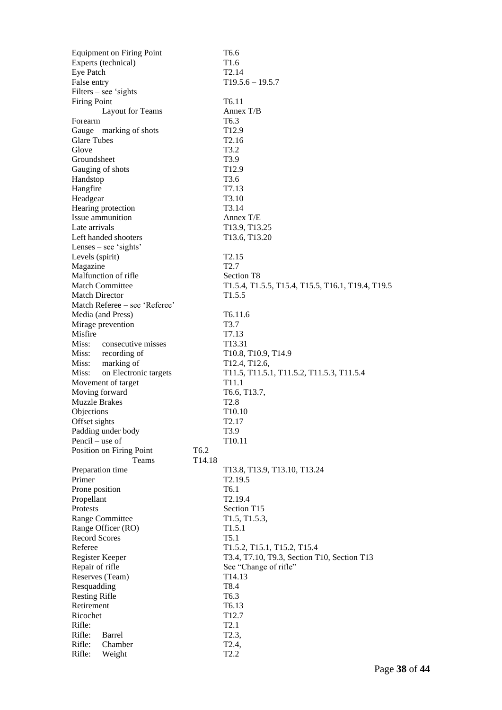|                              | <b>Equipment on Firing Point</b> |                  | T <sub>6.6</sub>                                    |
|------------------------------|----------------------------------|------------------|-----------------------------------------------------|
|                              | Experts (technical)              |                  | T <sub>1.6</sub>                                    |
| Eye Patch                    |                                  |                  | T <sub>2.14</sub>                                   |
| False entry                  |                                  |                  | $T19.5.6 - 19.5.7$                                  |
|                              | $Filers - see 'sights$           |                  |                                                     |
| <b>Firing Point</b>          |                                  |                  | T <sub>6.11</sub>                                   |
|                              | Layout for Teams                 |                  | Annex $T/B$                                         |
| Forearm                      |                                  |                  | T <sub>6.3</sub>                                    |
|                              | Gauge marking of shots           |                  | T <sub>12.9</sub>                                   |
| <b>Glare Tubes</b>           |                                  |                  | T <sub>2.16</sub>                                   |
| Glove                        |                                  |                  | T3.2                                                |
| Groundsheet                  |                                  |                  | T <sub>3.9</sub>                                    |
| Gauging of shots             |                                  |                  | T <sub>12.9</sub>                                   |
| Handstop                     |                                  |                  | T <sub>3.6</sub>                                    |
| Hangfire                     |                                  |                  | T7.13                                               |
| Headgear                     |                                  |                  | T <sub>3.10</sub>                                   |
|                              | Hearing protection               |                  | T3.14                                               |
|                              | Issue ammunition                 |                  | Annex T/E                                           |
| Late arrivals                |                                  |                  | T13.9, T13.25                                       |
|                              | Left handed shooters             |                  | T13.6, T13.20                                       |
|                              | Lenses – see 'sights'            |                  |                                                     |
| Levels (spirit)              |                                  |                  | T <sub>2.15</sub>                                   |
| Magazine                     |                                  |                  | T <sub>2.7</sub>                                    |
|                              | Malfunction of rifle             |                  | Section T <sub>8</sub>                              |
|                              | <b>Match Committee</b>           |                  | T1.5.4, T1.5.5, T15.4, T15.5, T16.1, T19.4, T19.5   |
| <b>Match Director</b>        |                                  |                  | T1.5.5                                              |
|                              | Match Referee – see 'Referee'    |                  |                                                     |
|                              | Media (and Press)                |                  | T <sub>6.11.6</sub>                                 |
|                              | Mirage prevention                |                  | T3.7                                                |
| Misfire                      |                                  |                  | T7.13                                               |
|                              | Miss: consecutive misses         |                  | T13.31                                              |
|                              | Miss: recording of               |                  | T10.8, T10.9, T14.9                                 |
|                              | Miss: marking of                 |                  | T12.4, T12.6,                                       |
| Miss:                        | on Electronic targets            |                  | T11.5, T11.5.1, T11.5.2, T11.5.3, T11.5.4           |
|                              | Movement of target               |                  | T <sub>11.1</sub>                                   |
| Moving forward               |                                  |                  | T6.6, T13.7,                                        |
| <b>Muzzle Brakes</b>         |                                  |                  | T <sub>2.8</sub>                                    |
| Objections                   |                                  |                  | T <sub>10.10</sub>                                  |
|                              |                                  |                  | T <sub>2.17</sub>                                   |
| Offset sights                | Padding under body               |                  | T3.9                                                |
| Pencil – use of              |                                  |                  | T10.11                                              |
|                              |                                  | T <sub>6.2</sub> |                                                     |
|                              | Position on Firing Point         |                  |                                                     |
| Preparation time             | Teams                            | T14.18           |                                                     |
| Primer                       |                                  |                  | T13.8, T13.9, T13.10, T13.24<br>T <sub>2.19.5</sub> |
|                              |                                  |                  |                                                     |
| Prone position<br>Propellant |                                  |                  | T <sub>6.1</sub>                                    |
| <b>Protests</b>              |                                  |                  | T2.19.4                                             |
|                              |                                  |                  | Section T15                                         |
|                              | Range Committee                  |                  | T1.5, T1.5.3,                                       |
|                              | Range Officer (RO)               |                  | T <sub>1.5.1</sub>                                  |
| <b>Record Scores</b>         |                                  |                  | T <sub>5.1</sub>                                    |
| Referee                      |                                  |                  | T1.5.2, T15.1, T15.2, T15.4                         |
| Register Keeper              |                                  |                  | T3.4, T7.10, T9.3, Section T10, Section T13         |
| Repair of rifle              |                                  |                  | See "Change of rifle"                               |
| Reserves (Team)              |                                  |                  | T <sub>14.13</sub>                                  |
| Resquadding                  |                                  |                  | T8.4                                                |
| <b>Resting Rifle</b>         |                                  |                  | T6.3                                                |
| Retirement                   |                                  |                  | T6.13                                               |
| Ricochet                     |                                  |                  | T <sub>12.7</sub>                                   |
| Rifle:                       |                                  |                  | T <sub>2.1</sub>                                    |
| Rifle:                       | Barrel                           |                  | T <sub>2.3</sub> ,                                  |
| Rifle:                       | Chamber                          |                  | T <sub>2.4</sub> ,                                  |
| Rifle:                       | Weight                           |                  | T <sub>2.2</sub>                                    |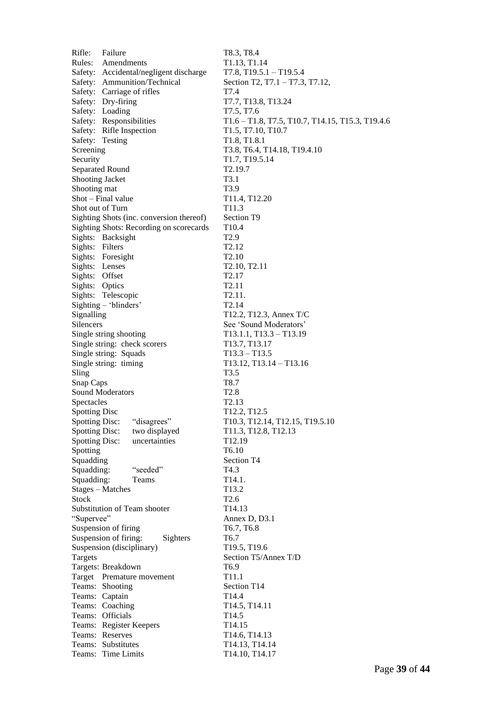Rifle: Failure T8.3, T8.4 Rules: Amendments T1.13, T1.14 Safety: Accidental/negligent discharge T7.8, T19.5.1 – T19.5.4 Safety: Ammunition/Technical Section T2, T7.1 – T7.3, T7.12, Safety: Carriage of rifles T7.4 Safety: Dry-firing T7.7, T13.8, T13.24 Safety: Loading T7.5, T7.6 Safety: Responsibilities T1.6 – T1.8, T7.5, T10.7, T14.15, T15.3, T19.4.6 Safety: Rifle Inspection T1.5, T7.10, T10.7 Safety: Testing T1.8, T1.8.1 Screening T3.8, T6.4, T14.18, T19.4.10 Security T1.7, T19.5.14 Separated Round T2.19.7 Shooting Jacket T3.1 Shooting mat T3.9 Shot – Final value T11.4, T12.20 Shot out of Turn T11.3 Sighting Shots (inc. conversion thereof) Section T9 Sighting Shots: Recording on scorecards T10.4 Sights: Backsight T2.9 Sights: Filters T2.12 Sights: Foresight T2.10 Sights: Lenses T2.10, T2.11 Sights: Offset T2.17 Sights: Optics T2.11 Sights: Telescopic T2.11. Sighting – 'blinders' T2.14  $T12.2, T12.3,$  Annex T/C Silencers See 'Sound Moderators' Single string shooting T13.1.1, T13.3 – T13.19 Single string: check scorers T13.7, T13.17 Single string: Squads T13.3 – T13.5 Single string: timing T13.12, T13.14 – T13.16 Sling T3.5 Snap Caps T8.7 Sound Moderators T2.8 Spectacles T2.13 Spotting Disc T12.2, T12.5 Spotting Disc: "disagrees" T10.3, T12.14, T12.15, T19.5.10 Spotting Disc: two displayed T11.3, T12.8, T12.13 Spotting Disc: uncertainties T12.19 Spotting T6.10 Squadding Section T4 Squadding: "seeded" T4.3 Squadding: Teams T14.1. Stages – Matches T13.2 Stock T2.6 Substitution of Team shooter T14.13 "Supervee" Annex D, D3.1 Suspension of firing T6.7, T6.8 Suspension of firing: Sighters T6.7 Suspension (disciplinary) T19.5, T19.6 Targets Section T5/Annex T/D Targets: Breakdown T6.9 Target Premature movement T11.1 Teams: Shooting Section T14 Teams: Captain T14.4 Teams: Coaching T14.5, T14.11 Teams: Officials T14.5 Teams: Register Keepers T14.15 Teams: Reserves T14.6, T14.13 Teams: Substitutes T14.13, T14.14 Teams: Time Limits T14.10, T14.17